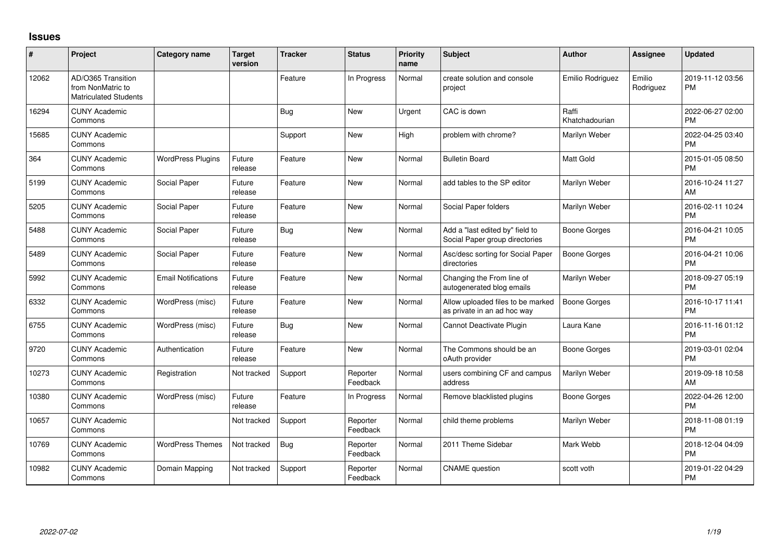## **Issues**

| #     | Project                                                                 | <b>Category name</b>       | <b>Target</b><br>version | <b>Tracker</b> | <b>Status</b>        | Priority<br>name | Subject                                                           | <b>Author</b>           | Assignee            | <b>Updated</b>                |
|-------|-------------------------------------------------------------------------|----------------------------|--------------------------|----------------|----------------------|------------------|-------------------------------------------------------------------|-------------------------|---------------------|-------------------------------|
| 12062 | AD/O365 Transition<br>from NonMatric to<br><b>Matriculated Students</b> |                            |                          | Feature        | In Progress          | Normal           | create solution and console<br>project                            | Emilio Rodriguez        | Emilio<br>Rodriguez | 2019-11-12 03:56<br><b>PM</b> |
| 16294 | <b>CUNY Academic</b><br>Commons                                         |                            |                          | Bug            | <b>New</b>           | Urgent           | CAC is down                                                       | Raffi<br>Khatchadourian |                     | 2022-06-27 02:00<br><b>PM</b> |
| 15685 | <b>CUNY Academic</b><br>Commons                                         |                            |                          | Support        | <b>New</b>           | High             | problem with chrome?                                              | Marilyn Weber           |                     | 2022-04-25 03:40<br><b>PM</b> |
| 364   | <b>CUNY Academic</b><br>Commons                                         | <b>WordPress Plugins</b>   | Future<br>release        | Feature        | <b>New</b>           | Normal           | <b>Bulletin Board</b>                                             | <b>Matt Gold</b>        |                     | 2015-01-05 08:50<br><b>PM</b> |
| 5199  | <b>CUNY Academic</b><br>Commons                                         | Social Paper               | Future<br>release        | Feature        | <b>New</b>           | Normal           | add tables to the SP editor                                       | Marilyn Weber           |                     | 2016-10-24 11:27<br>AM        |
| 5205  | <b>CUNY Academic</b><br>Commons                                         | Social Paper               | Future<br>release        | Feature        | <b>New</b>           | Normal           | Social Paper folders                                              | Marilyn Weber           |                     | 2016-02-11 10:24<br><b>PM</b> |
| 5488  | <b>CUNY Academic</b><br>Commons                                         | Social Paper               | Future<br>release        | Bug            | <b>New</b>           | Normal           | Add a "last edited by" field to<br>Social Paper group directories | Boone Gorges            |                     | 2016-04-21 10:05<br><b>PM</b> |
| 5489  | <b>CUNY Academic</b><br>Commons                                         | Social Paper               | Future<br>release        | Feature        | <b>New</b>           | Normal           | Asc/desc sorting for Social Paper<br>directories                  | <b>Boone Gorges</b>     |                     | 2016-04-21 10:06<br><b>PM</b> |
| 5992  | <b>CUNY Academic</b><br>Commons                                         | <b>Email Notifications</b> | Future<br>release        | Feature        | <b>New</b>           | Normal           | Changing the From line of<br>autogenerated blog emails            | Marilyn Weber           |                     | 2018-09-27 05:19<br><b>PM</b> |
| 6332  | <b>CUNY Academic</b><br>Commons                                         | WordPress (misc)           | Future<br>release        | Feature        | <b>New</b>           | Normal           | Allow uploaded files to be marked<br>as private in an ad hoc way  | <b>Boone Gorges</b>     |                     | 2016-10-17 11:41<br><b>PM</b> |
| 6755  | <b>CUNY Academic</b><br>Commons                                         | WordPress (misc)           | Future<br>release        | <b>Bug</b>     | <b>New</b>           | Normal           | Cannot Deactivate Plugin                                          | Laura Kane              |                     | 2016-11-16 01:12<br><b>PM</b> |
| 9720  | <b>CUNY Academic</b><br>Commons                                         | Authentication             | Future<br>release        | Feature        | <b>New</b>           | Normal           | The Commons should be an<br>oAuth provider                        | <b>Boone Gorges</b>     |                     | 2019-03-01 02:04<br><b>PM</b> |
| 10273 | <b>CUNY Academic</b><br>Commons                                         | Registration               | Not tracked              | Support        | Reporter<br>Feedback | Normal           | users combining CF and campus<br>address                          | Marilyn Weber           |                     | 2019-09-18 10:58<br>AM        |
| 10380 | <b>CUNY Academic</b><br>Commons                                         | WordPress (misc)           | Future<br>release        | Feature        | In Progress          | Normal           | Remove blacklisted plugins                                        | <b>Boone Gorges</b>     |                     | 2022-04-26 12:00<br><b>PM</b> |
| 10657 | <b>CUNY Academic</b><br>Commons                                         |                            | Not tracked              | Support        | Reporter<br>Feedback | Normal           | child theme problems                                              | Marilyn Weber           |                     | 2018-11-08 01:19<br><b>PM</b> |
| 10769 | <b>CUNY Academic</b><br>Commons                                         | <b>WordPress Themes</b>    | Not tracked              | <b>Bug</b>     | Reporter<br>Feedback | Normal           | 2011 Theme Sidebar                                                | Mark Webb               |                     | 2018-12-04 04:09<br><b>PM</b> |
| 10982 | <b>CUNY Academic</b><br>Commons                                         | Domain Mapping             | Not tracked              | Support        | Reporter<br>Feedback | Normal           | <b>CNAME</b> question                                             | scott voth              |                     | 2019-01-22 04:29<br><b>PM</b> |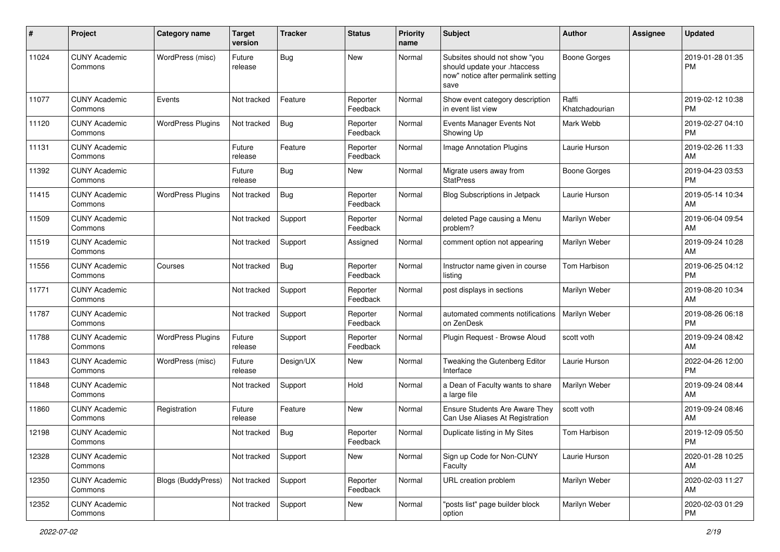| #     | Project                         | <b>Category name</b>      | <b>Target</b><br>version | <b>Tracker</b> | <b>Status</b>        | <b>Priority</b><br>name | <b>Subject</b>                                                                                               | Author                  | Assignee | <b>Updated</b>                |
|-------|---------------------------------|---------------------------|--------------------------|----------------|----------------------|-------------------------|--------------------------------------------------------------------------------------------------------------|-------------------------|----------|-------------------------------|
| 11024 | <b>CUNY Academic</b><br>Commons | WordPress (misc)          | Future<br>release        | Bug            | <b>New</b>           | Normal                  | Subsites should not show "you<br>should update your .htaccess<br>now" notice after permalink setting<br>save | <b>Boone Gorges</b>     |          | 2019-01-28 01:35<br><b>PM</b> |
| 11077 | <b>CUNY Academic</b><br>Commons | Events                    | Not tracked              | Feature        | Reporter<br>Feedback | Normal                  | Show event category description<br>in event list view                                                        | Raffi<br>Khatchadourian |          | 2019-02-12 10:38<br><b>PM</b> |
| 11120 | <b>CUNY Academic</b><br>Commons | <b>WordPress Plugins</b>  | Not tracked              | <b>Bug</b>     | Reporter<br>Feedback | Normal                  | Events Manager Events Not<br>Showing Up                                                                      | Mark Webb               |          | 2019-02-27 04:10<br><b>PM</b> |
| 11131 | <b>CUNY Academic</b><br>Commons |                           | Future<br>release        | Feature        | Reporter<br>Feedback | Normal                  | Image Annotation Plugins                                                                                     | Laurie Hurson           |          | 2019-02-26 11:33<br>AM        |
| 11392 | <b>CUNY Academic</b><br>Commons |                           | Future<br>release        | Bug            | New                  | Normal                  | Migrate users away from<br><b>StatPress</b>                                                                  | Boone Gorges            |          | 2019-04-23 03:53<br><b>PM</b> |
| 11415 | <b>CUNY Academic</b><br>Commons | <b>WordPress Plugins</b>  | Not tracked              | Bug            | Reporter<br>Feedback | Normal                  | Blog Subscriptions in Jetpack                                                                                | Laurie Hurson           |          | 2019-05-14 10:34<br>AM        |
| 11509 | <b>CUNY Academic</b><br>Commons |                           | Not tracked              | Support        | Reporter<br>Feedback | Normal                  | deleted Page causing a Menu<br>problem?                                                                      | Marilyn Weber           |          | 2019-06-04 09:54<br>AM        |
| 11519 | <b>CUNY Academic</b><br>Commons |                           | Not tracked              | Support        | Assigned             | Normal                  | comment option not appearing                                                                                 | Marilyn Weber           |          | 2019-09-24 10:28<br>AM        |
| 11556 | <b>CUNY Academic</b><br>Commons | Courses                   | Not tracked              | Bug            | Reporter<br>Feedback | Normal                  | Instructor name given in course<br>listing                                                                   | Tom Harbison            |          | 2019-06-25 04:12<br><b>PM</b> |
| 11771 | <b>CUNY Academic</b><br>Commons |                           | Not tracked              | Support        | Reporter<br>Feedback | Normal                  | post displays in sections                                                                                    | Marilyn Weber           |          | 2019-08-20 10:34<br>AM        |
| 11787 | <b>CUNY Academic</b><br>Commons |                           | Not tracked              | Support        | Reporter<br>Feedback | Normal                  | automated comments notifications<br>on ZenDesk                                                               | Marilyn Weber           |          | 2019-08-26 06:18<br><b>PM</b> |
| 11788 | <b>CUNY Academic</b><br>Commons | <b>WordPress Plugins</b>  | Future<br>release        | Support        | Reporter<br>Feedback | Normal                  | Plugin Request - Browse Aloud                                                                                | scott voth              |          | 2019-09-24 08:42<br>AM        |
| 11843 | <b>CUNY Academic</b><br>Commons | WordPress (misc)          | Future<br>release        | Design/UX      | New                  | Normal                  | Tweaking the Gutenberg Editor<br>Interface                                                                   | Laurie Hurson           |          | 2022-04-26 12:00<br><b>PM</b> |
| 11848 | <b>CUNY Academic</b><br>Commons |                           | Not tracked              | Support        | Hold                 | Normal                  | a Dean of Faculty wants to share<br>a large file                                                             | Marilyn Weber           |          | 2019-09-24 08:44<br>AM        |
| 11860 | <b>CUNY Academic</b><br>Commons | Registration              | Future<br>release        | Feature        | New                  | Normal                  | Ensure Students Are Aware They<br>Can Use Aliases At Registration                                            | scott voth              |          | 2019-09-24 08:46<br>AM        |
| 12198 | <b>CUNY Academic</b><br>Commons |                           | Not tracked              | Bug            | Reporter<br>Feedback | Normal                  | Duplicate listing in My Sites                                                                                | Tom Harbison            |          | 2019-12-09 05:50<br>PM        |
| 12328 | <b>CUNY Academic</b><br>Commons |                           | Not tracked              | Support        | New                  | Normal                  | Sign up Code for Non-CUNY<br>Faculty                                                                         | Laurie Hurson           |          | 2020-01-28 10:25<br>AM        |
| 12350 | <b>CUNY Academic</b><br>Commons | <b>Blogs (BuddyPress)</b> | Not tracked              | Support        | Reporter<br>Feedback | Normal                  | URL creation problem                                                                                         | Marilyn Weber           |          | 2020-02-03 11:27<br>AM        |
| 12352 | <b>CUNY Academic</b><br>Commons |                           | Not tracked              | Support        | New                  | Normal                  | "posts list" page builder block<br>option                                                                    | Marilyn Weber           |          | 2020-02-03 01:29<br><b>PM</b> |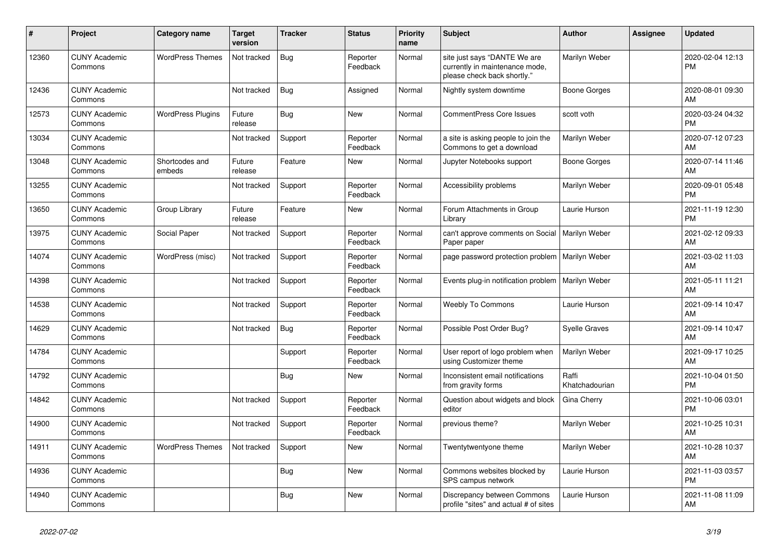| #     | Project                         | <b>Category name</b>     | <b>Target</b><br>version | <b>Tracker</b> | <b>Status</b>        | <b>Priority</b><br>name | <b>Subject</b>                                                                                | <b>Author</b>           | Assignee | <b>Updated</b>                |
|-------|---------------------------------|--------------------------|--------------------------|----------------|----------------------|-------------------------|-----------------------------------------------------------------------------------------------|-------------------------|----------|-------------------------------|
| 12360 | <b>CUNY Academic</b><br>Commons | <b>WordPress Themes</b>  | Not tracked              | Bug            | Reporter<br>Feedback | Normal                  | site just says "DANTE We are<br>currently in maintenance mode,<br>please check back shortly." | Marilyn Weber           |          | 2020-02-04 12:13<br><b>PM</b> |
| 12436 | <b>CUNY Academic</b><br>Commons |                          | Not tracked              | <b>Bug</b>     | Assigned             | Normal                  | Nightly system downtime                                                                       | Boone Gorges            |          | 2020-08-01 09:30<br>AM        |
| 12573 | <b>CUNY Academic</b><br>Commons | <b>WordPress Plugins</b> | Future<br>release        | <b>Bug</b>     | <b>New</b>           | Normal                  | <b>CommentPress Core Issues</b>                                                               | scott voth              |          | 2020-03-24 04:32<br><b>PM</b> |
| 13034 | <b>CUNY Academic</b><br>Commons |                          | Not tracked              | Support        | Reporter<br>Feedback | Normal                  | a site is asking people to join the<br>Commons to get a download                              | Marilyn Weber           |          | 2020-07-12 07:23<br>AM        |
| 13048 | <b>CUNY Academic</b><br>Commons | Shortcodes and<br>embeds | Future<br>release        | Feature        | <b>New</b>           | Normal                  | Jupyter Notebooks support                                                                     | Boone Gorges            |          | 2020-07-14 11:46<br>AM        |
| 13255 | <b>CUNY Academic</b><br>Commons |                          | Not tracked              | Support        | Reporter<br>Feedback | Normal                  | Accessibility problems                                                                        | Marilyn Weber           |          | 2020-09-01 05:48<br><b>PM</b> |
| 13650 | <b>CUNY Academic</b><br>Commons | Group Library            | Future<br>release        | Feature        | <b>New</b>           | Normal                  | Forum Attachments in Group<br>Library                                                         | Laurie Hurson           |          | 2021-11-19 12:30<br><b>PM</b> |
| 13975 | <b>CUNY Academic</b><br>Commons | Social Paper             | Not tracked              | Support        | Reporter<br>Feedback | Normal                  | can't approve comments on Social   Marilyn Weber<br>Paper paper                               |                         |          | 2021-02-12 09:33<br>AM        |
| 14074 | <b>CUNY Academic</b><br>Commons | WordPress (misc)         | Not tracked              | Support        | Reporter<br>Feedback | Normal                  | page password protection problem   Marilyn Weber                                              |                         |          | 2021-03-02 11:03<br>AM        |
| 14398 | <b>CUNY Academic</b><br>Commons |                          | Not tracked              | Support        | Reporter<br>Feedback | Normal                  | Events plug-in notification problem                                                           | Marilyn Weber           |          | 2021-05-11 11:21<br>AM        |
| 14538 | <b>CUNY Academic</b><br>Commons |                          | Not tracked              | Support        | Reporter<br>Feedback | Normal                  | Weebly To Commons                                                                             | Laurie Hurson           |          | 2021-09-14 10:47<br>AM        |
| 14629 | <b>CUNY Academic</b><br>Commons |                          | Not tracked              | Bug            | Reporter<br>Feedback | Normal                  | Possible Post Order Bug?                                                                      | <b>Syelle Graves</b>    |          | 2021-09-14 10:47<br>AM        |
| 14784 | <b>CUNY Academic</b><br>Commons |                          |                          | Support        | Reporter<br>Feedback | Normal                  | User report of logo problem when<br>using Customizer theme                                    | Marilyn Weber           |          | 2021-09-17 10:25<br>AM        |
| 14792 | <b>CUNY Academic</b><br>Commons |                          |                          | Bug            | <b>New</b>           | Normal                  | Inconsistent email notifications<br>from gravity forms                                        | Raffi<br>Khatchadourian |          | 2021-10-04 01:50<br><b>PM</b> |
| 14842 | <b>CUNY Academic</b><br>Commons |                          | Not tracked              | Support        | Reporter<br>Feedback | Normal                  | Question about widgets and block<br>editor                                                    | Gina Cherry             |          | 2021-10-06 03:01<br><b>PM</b> |
| 14900 | <b>CUNY Academic</b><br>Commons |                          | Not tracked              | Support        | Reporter<br>Feedback | Normal                  | previous theme?                                                                               | Marilyn Weber           |          | 2021-10-25 10:31<br>AM        |
| 14911 | <b>CUNY Academic</b><br>Commons | <b>WordPress Themes</b>  | Not tracked              | Support        | <b>New</b>           | Normal                  | Twentytwentyone theme                                                                         | Marilyn Weber           |          | 2021-10-28 10:37<br>AM        |
| 14936 | <b>CUNY Academic</b><br>Commons |                          |                          | <b>Bug</b>     | <b>New</b>           | Normal                  | Commons websites blocked by<br>SPS campus network                                             | Laurie Hurson           |          | 2021-11-03 03:57<br><b>PM</b> |
| 14940 | <b>CUNY Academic</b><br>Commons |                          |                          | <b>Bug</b>     | <b>New</b>           | Normal                  | Discrepancy between Commons<br>profile "sites" and actual # of sites                          | Laurie Hurson           |          | 2021-11-08 11:09<br>AM        |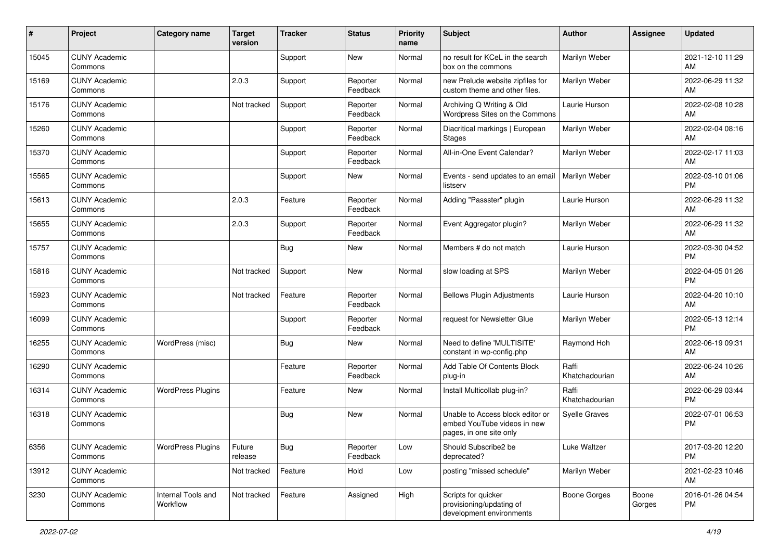| #     | Project                         | <b>Category name</b>           | <b>Target</b><br>version | <b>Tracker</b> | <b>Status</b>        | <b>Priority</b><br>name | <b>Subject</b>                                                                             | <b>Author</b>           | <b>Assignee</b> | <b>Updated</b>                |
|-------|---------------------------------|--------------------------------|--------------------------|----------------|----------------------|-------------------------|--------------------------------------------------------------------------------------------|-------------------------|-----------------|-------------------------------|
| 15045 | <b>CUNY Academic</b><br>Commons |                                |                          | Support        | New                  | Normal                  | no result for KCeL in the search<br>box on the commons                                     | Marilyn Weber           |                 | 2021-12-10 11:29<br>AM.       |
| 15169 | <b>CUNY Academic</b><br>Commons |                                | 2.0.3                    | Support        | Reporter<br>Feedback | Normal                  | new Prelude website zipfiles for<br>custom theme and other files.                          | Marilyn Weber           |                 | 2022-06-29 11:32<br><b>AM</b> |
| 15176 | <b>CUNY Academic</b><br>Commons |                                | Not tracked              | Support        | Reporter<br>Feedback | Normal                  | Archiving Q Writing & Old<br>Wordpress Sites on the Commons                                | Laurie Hurson           |                 | 2022-02-08 10:28<br>AM        |
| 15260 | <b>CUNY Academic</b><br>Commons |                                |                          | Support        | Reporter<br>Feedback | Normal                  | Diacritical markings   European<br><b>Stages</b>                                           | Marilyn Weber           |                 | 2022-02-04 08:16<br>AM        |
| 15370 | <b>CUNY Academic</b><br>Commons |                                |                          | Support        | Reporter<br>Feedback | Normal                  | All-in-One Event Calendar?                                                                 | Marilyn Weber           |                 | 2022-02-17 11:03<br>AM        |
| 15565 | <b>CUNY Academic</b><br>Commons |                                |                          | Support        | <b>New</b>           | Normal                  | Events - send updates to an email<br>listserv                                              | Marilyn Weber           |                 | 2022-03-10 01:06<br><b>PM</b> |
| 15613 | <b>CUNY Academic</b><br>Commons |                                | 2.0.3                    | Feature        | Reporter<br>Feedback | Normal                  | Adding "Passster" plugin                                                                   | Laurie Hurson           |                 | 2022-06-29 11:32<br>AM        |
| 15655 | <b>CUNY Academic</b><br>Commons |                                | 2.0.3                    | Support        | Reporter<br>Feedback | Normal                  | Event Aggregator plugin?                                                                   | Marilyn Weber           |                 | 2022-06-29 11:32<br>AM        |
| 15757 | <b>CUNY Academic</b><br>Commons |                                |                          | <b>Bug</b>     | New                  | Normal                  | Members # do not match                                                                     | Laurie Hurson           |                 | 2022-03-30 04:52<br><b>PM</b> |
| 15816 | <b>CUNY Academic</b><br>Commons |                                | Not tracked              | Support        | <b>New</b>           | Normal                  | slow loading at SPS                                                                        | Marilyn Weber           |                 | 2022-04-05 01:26<br><b>PM</b> |
| 15923 | <b>CUNY Academic</b><br>Commons |                                | Not tracked              | Feature        | Reporter<br>Feedback | Normal                  | <b>Bellows Plugin Adjustments</b>                                                          | Laurie Hurson           |                 | 2022-04-20 10:10<br>AM        |
| 16099 | <b>CUNY Academic</b><br>Commons |                                |                          | Support        | Reporter<br>Feedback | Normal                  | request for Newsletter Glue                                                                | Marilyn Weber           |                 | 2022-05-13 12:14<br><b>PM</b> |
| 16255 | <b>CUNY Academic</b><br>Commons | WordPress (misc)               |                          | <b>Bug</b>     | New                  | Normal                  | Need to define 'MULTISITE'<br>constant in wp-config.php                                    | Raymond Hoh             |                 | 2022-06-19 09:31<br>AM        |
| 16290 | <b>CUNY Academic</b><br>Commons |                                |                          | Feature        | Reporter<br>Feedback | Normal                  | Add Table Of Contents Block<br>plug-in                                                     | Raffi<br>Khatchadourian |                 | 2022-06-24 10:26<br>AM        |
| 16314 | <b>CUNY Academic</b><br>Commons | <b>WordPress Plugins</b>       |                          | Feature        | <b>New</b>           | Normal                  | Install Multicollab plug-in?                                                               | Raffi<br>Khatchadourian |                 | 2022-06-29 03:44<br><b>PM</b> |
| 16318 | <b>CUNY Academic</b><br>Commons |                                |                          | Bug            | New                  | Normal                  | Unable to Access block editor or<br>embed YouTube videos in new<br>pages, in one site only | Syelle Graves           |                 | 2022-07-01 06:53<br><b>PM</b> |
| 6356  | <b>CUNY Academic</b><br>Commons | <b>WordPress Plugins</b>       | Future<br>release        | <b>Bug</b>     | Reporter<br>Feedback | Low                     | Should Subscribe2 be<br>deprecated?                                                        | Luke Waltzer            |                 | 2017-03-20 12:20<br>PM        |
| 13912 | <b>CUNY Academic</b><br>Commons |                                | Not tracked              | Feature        | Hold                 | Low                     | posting "missed schedule"                                                                  | Marilyn Weber           |                 | 2021-02-23 10:46<br>AM        |
| 3230  | <b>CUNY Academic</b><br>Commons | Internal Tools and<br>Workflow | Not tracked              | Feature        | Assigned             | High                    | Scripts for quicker<br>provisioning/updating of<br>development environments                | Boone Gorges            | Boone<br>Gorges | 2016-01-26 04:54<br><b>PM</b> |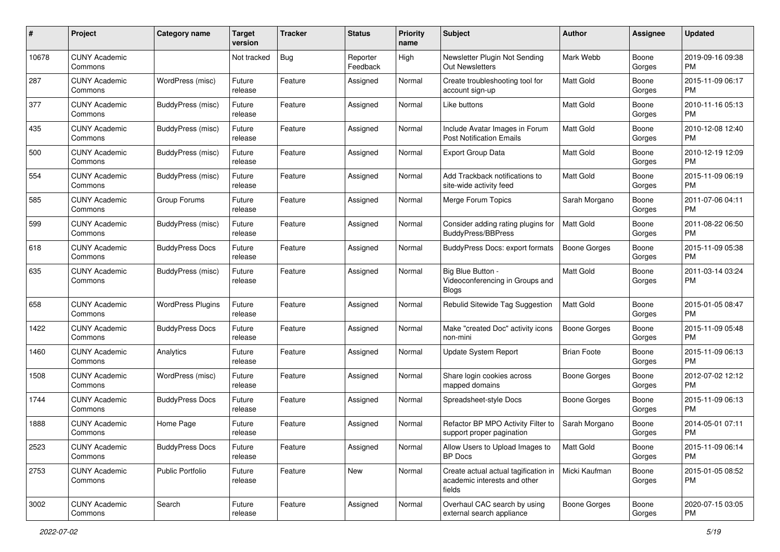| #     | Project                         | <b>Category name</b>     | <b>Target</b><br>version | Tracker | <b>Status</b>        | <b>Priority</b><br>name | <b>Subject</b>                                                                 | Author              | <b>Assignee</b> | <b>Updated</b>                |
|-------|---------------------------------|--------------------------|--------------------------|---------|----------------------|-------------------------|--------------------------------------------------------------------------------|---------------------|-----------------|-------------------------------|
| 10678 | <b>CUNY Academic</b><br>Commons |                          | Not tracked              | Bug     | Reporter<br>Feedback | High                    | Newsletter Plugin Not Sending<br>Out Newsletters                               | Mark Webb           | Boone<br>Gorges | 2019-09-16 09:38<br>PM.       |
| 287   | <b>CUNY Academic</b><br>Commons | WordPress (misc)         | Future<br>release        | Feature | Assigned             | Normal                  | Create troubleshooting tool for<br>account sign-up                             | <b>Matt Gold</b>    | Boone<br>Gorges | 2015-11-09 06:17<br><b>PM</b> |
| 377   | <b>CUNY Academic</b><br>Commons | <b>BuddyPress (misc)</b> | Future<br>release        | Feature | Assigned             | Normal                  | Like buttons                                                                   | Matt Gold           | Boone<br>Gorges | 2010-11-16 05:13<br><b>PM</b> |
| 435   | <b>CUNY Academic</b><br>Commons | BuddyPress (misc)        | Future<br>release        | Feature | Assigned             | Normal                  | Include Avatar Images in Forum<br><b>Post Notification Emails</b>              | <b>Matt Gold</b>    | Boone<br>Gorges | 2010-12-08 12:40<br><b>PM</b> |
| 500   | <b>CUNY Academic</b><br>Commons | BuddyPress (misc)        | Future<br>release        | Feature | Assigned             | Normal                  | <b>Export Group Data</b>                                                       | Matt Gold           | Boone<br>Gorges | 2010-12-19 12:09<br><b>PM</b> |
| 554   | <b>CUNY Academic</b><br>Commons | BuddyPress (misc)        | Future<br>release        | Feature | Assigned             | Normal                  | Add Trackback notifications to<br>site-wide activity feed                      | <b>Matt Gold</b>    | Boone<br>Gorges | 2015-11-09 06:19<br><b>PM</b> |
| 585   | <b>CUNY Academic</b><br>Commons | Group Forums             | Future<br>release        | Feature | Assigned             | Normal                  | Merge Forum Topics                                                             | Sarah Morgano       | Boone<br>Gorges | 2011-07-06 04:11<br><b>PM</b> |
| 599   | <b>CUNY Academic</b><br>Commons | BuddyPress (misc)        | Future<br>release        | Feature | Assigned             | Normal                  | Consider adding rating plugins for<br><b>BuddyPress/BBPress</b>                | <b>Matt Gold</b>    | Boone<br>Gorges | 2011-08-22 06:50<br><b>PM</b> |
| 618   | <b>CUNY Academic</b><br>Commons | <b>BuddyPress Docs</b>   | Future<br>release        | Feature | Assigned             | Normal                  | <b>BuddyPress Docs: export formats</b>                                         | <b>Boone Gorges</b> | Boone<br>Gorges | 2015-11-09 05:38<br><b>PM</b> |
| 635   | <b>CUNY Academic</b><br>Commons | BuddyPress (misc)        | Future<br>release        | Feature | Assigned             | Normal                  | Big Blue Button -<br>Videoconferencing in Groups and<br><b>Blogs</b>           | Matt Gold           | Boone<br>Gorges | 2011-03-14 03:24<br><b>PM</b> |
| 658   | <b>CUNY Academic</b><br>Commons | <b>WordPress Plugins</b> | Future<br>release        | Feature | Assigned             | Normal                  | Rebulid Sitewide Tag Suggestion                                                | Matt Gold           | Boone<br>Gorges | 2015-01-05 08:47<br><b>PM</b> |
| 1422  | CUNY Academic<br>Commons        | <b>BuddyPress Docs</b>   | Future<br>release        | Feature | Assigned             | Normal                  | Make "created Doc" activity icons<br>non-mini                                  | <b>Boone Gorges</b> | Boone<br>Gorges | 2015-11-09 05:48<br><b>PM</b> |
| 1460  | <b>CUNY Academic</b><br>Commons | Analytics                | Future<br>release        | Feature | Assigned             | Normal                  | <b>Update System Report</b>                                                    | <b>Brian Foote</b>  | Boone<br>Gorges | 2015-11-09 06:13<br><b>PM</b> |
| 1508  | <b>CUNY Academic</b><br>Commons | WordPress (misc)         | Future<br>release        | Feature | Assigned             | Normal                  | Share login cookies across<br>mapped domains                                   | <b>Boone Gorges</b> | Boone<br>Gorges | 2012-07-02 12:12<br><b>PM</b> |
| 1744  | <b>CUNY Academic</b><br>Commons | <b>BuddyPress Docs</b>   | Future<br>release        | Feature | Assigned             | Normal                  | Spreadsheet-style Docs                                                         | Boone Gorges        | Boone<br>Gorges | 2015-11-09 06:13<br><b>PM</b> |
| 1888  | <b>CUNY Academic</b><br>Commons | Home Page                | Future<br>release        | Feature | Assigned             | Normal                  | Refactor BP MPO Activity Filter to<br>support proper pagination                | Sarah Morgano       | Boone<br>Gorges | 2014-05-01 07:11<br><b>PM</b> |
| 2523  | <b>CUNY Academic</b><br>Commons | <b>BuddyPress Docs</b>   | Future<br>release        | Feature | Assigned             | Normal                  | Allow Users to Upload Images to<br>BP Docs                                     | Matt Gold           | Boone<br>Gorges | 2015-11-09 06:14<br><b>PM</b> |
| 2753  | <b>CUNY Academic</b><br>Commons | <b>Public Portfolio</b>  | Future<br>release        | Feature | New                  | Normal                  | Create actual actual tagification in<br>academic interests and other<br>fields | Micki Kaufman       | Boone<br>Gorges | 2015-01-05 08:52<br>PM        |
| 3002  | <b>CUNY Academic</b><br>Commons | Search                   | Future<br>release        | Feature | Assigned             | Normal                  | Overhaul CAC search by using<br>external search appliance                      | Boone Gorges        | Boone<br>Gorges | 2020-07-15 03:05<br><b>PM</b> |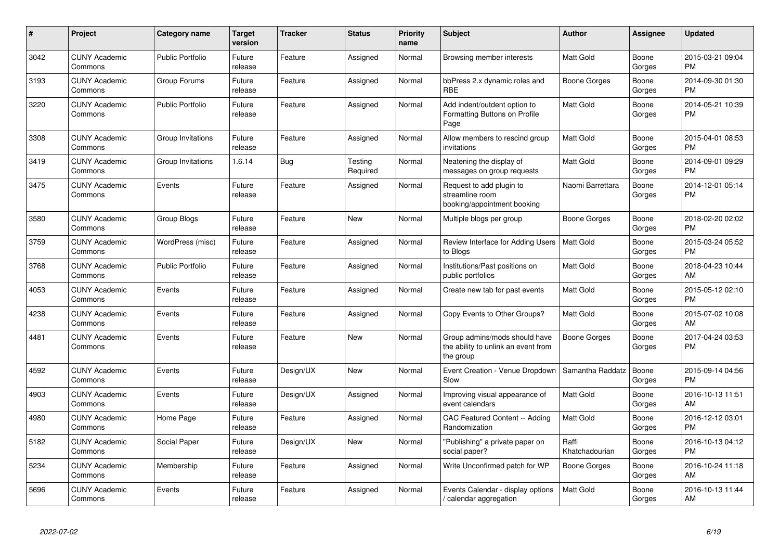| #    | Project                         | <b>Category name</b>    | <b>Target</b><br>version | <b>Tracker</b> | <b>Status</b>       | <b>Priority</b><br>name | <b>Subject</b>                                                                    | <b>Author</b>           | <b>Assignee</b> | <b>Updated</b>                |
|------|---------------------------------|-------------------------|--------------------------|----------------|---------------------|-------------------------|-----------------------------------------------------------------------------------|-------------------------|-----------------|-------------------------------|
| 3042 | <b>CUNY Academic</b><br>Commons | <b>Public Portfolio</b> | Future<br>release        | Feature        | Assigned            | Normal                  | Browsing member interests                                                         | <b>Matt Gold</b>        | Boone<br>Gorges | 2015-03-21 09:04<br><b>PM</b> |
| 3193 | <b>CUNY Academic</b><br>Commons | Group Forums            | Future<br>release        | Feature        | Assigned            | Normal                  | bbPress 2.x dynamic roles and<br><b>RBE</b>                                       | Boone Gorges            | Boone<br>Gorges | 2014-09-30 01:30<br><b>PM</b> |
| 3220 | <b>CUNY Academic</b><br>Commons | <b>Public Portfolio</b> | Future<br>release        | Feature        | Assigned            | Normal                  | Add indent/outdent option to<br>Formatting Buttons on Profile<br>Page             | Matt Gold               | Boone<br>Gorges | 2014-05-21 10:39<br><b>PM</b> |
| 3308 | <b>CUNY Academic</b><br>Commons | Group Invitations       | Future<br>release        | Feature        | Assigned            | Normal                  | Allow members to rescind group<br>invitations                                     | <b>Matt Gold</b>        | Boone<br>Gorges | 2015-04-01 08:53<br><b>PM</b> |
| 3419 | <b>CUNY Academic</b><br>Commons | Group Invitations       | 1.6.14                   | Bug            | Testing<br>Required | Normal                  | Neatening the display of<br>messages on group requests                            | <b>Matt Gold</b>        | Boone<br>Gorges | 2014-09-01 09:29<br><b>PM</b> |
| 3475 | <b>CUNY Academic</b><br>Commons | Events                  | Future<br>release        | Feature        | Assigned            | Normal                  | Request to add plugin to<br>streamline room<br>booking/appointment booking        | Naomi Barrettara        | Boone<br>Gorges | 2014-12-01 05:14<br><b>PM</b> |
| 3580 | <b>CUNY Academic</b><br>Commons | Group Blogs             | Future<br>release        | Feature        | <b>New</b>          | Normal                  | Multiple blogs per group                                                          | Boone Gorges            | Boone<br>Gorges | 2018-02-20 02:02<br><b>PM</b> |
| 3759 | <b>CUNY Academic</b><br>Commons | WordPress (misc)        | Future<br>release        | Feature        | Assigned            | Normal                  | Review Interface for Adding Users<br>to Blogs                                     | Matt Gold               | Boone<br>Gorges | 2015-03-24 05:52<br><b>PM</b> |
| 3768 | <b>CUNY Academic</b><br>Commons | <b>Public Portfolio</b> | Future<br>release        | Feature        | Assigned            | Normal                  | Institutions/Past positions on<br>public portfolios                               | <b>Matt Gold</b>        | Boone<br>Gorges | 2018-04-23 10:44<br>AM        |
| 4053 | <b>CUNY Academic</b><br>Commons | Events                  | Future<br>release        | Feature        | Assigned            | Normal                  | Create new tab for past events                                                    | Matt Gold               | Boone<br>Gorges | 2015-05-12 02:10<br><b>PM</b> |
| 4238 | <b>CUNY Academic</b><br>Commons | Events                  | Future<br>release        | Feature        | Assigned            | Normal                  | Copy Events to Other Groups?                                                      | <b>Matt Gold</b>        | Boone<br>Gorges | 2015-07-02 10:08<br>AM        |
| 4481 | <b>CUNY Academic</b><br>Commons | Events                  | Future<br>release        | Feature        | <b>New</b>          | Normal                  | Group admins/mods should have<br>the ability to unlink an event from<br>the group | Boone Gorges            | Boone<br>Gorges | 2017-04-24 03:53<br><b>PM</b> |
| 4592 | <b>CUNY Academic</b><br>Commons | Events                  | Future<br>release        | Design/UX      | New                 | Normal                  | Event Creation - Venue Dropdown<br>Slow                                           | Samantha Raddatz        | Boone<br>Gorges | 2015-09-14 04:56<br><b>PM</b> |
| 4903 | <b>CUNY Academic</b><br>Commons | Events                  | Future<br>release        | Design/UX      | Assigned            | Normal                  | Improving visual appearance of<br>event calendars                                 | <b>Matt Gold</b>        | Boone<br>Gorges | 2016-10-13 11:51<br>AM        |
| 4980 | <b>CUNY Academic</b><br>Commons | Home Page               | Future<br>release        | Feature        | Assigned            | Normal                  | CAC Featured Content -- Adding<br>Randomization                                   | <b>Matt Gold</b>        | Boone<br>Gorges | 2016-12-12 03:01<br><b>PM</b> |
| 5182 | <b>CUNY Academic</b><br>Commons | Social Paper            | Future<br>release        | Design/UX      | New                 | Normal                  | "Publishing" a private paper on<br>social paper?                                  | Raffi<br>Khatchadourian | Boone<br>Gorges | 2016-10-13 04:12<br><b>PM</b> |
| 5234 | <b>CUNY Academic</b><br>Commons | Membership              | Future<br>release        | Feature        | Assigned            | Normal                  | Write Unconfirmed patch for WP                                                    | Boone Gorges            | Boone<br>Gorges | 2016-10-24 11:18<br>AM        |
| 5696 | <b>CUNY Academic</b><br>Commons | Events                  | Future<br>release        | Feature        | Assigned            | Normal                  | Events Calendar - display options<br>/ calendar aggregation                       | <b>Matt Gold</b>        | Boone<br>Gorges | 2016-10-13 11:44<br>AM        |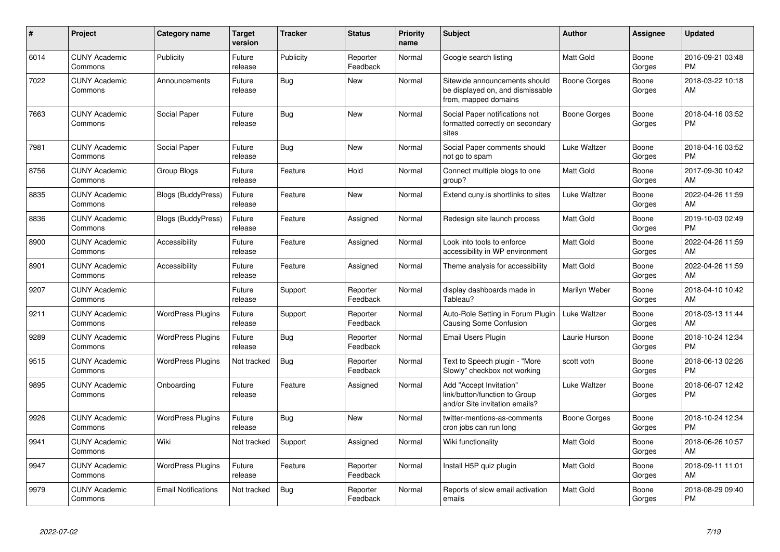| #    | Project                         | <b>Category name</b>       | <b>Target</b><br>version | <b>Tracker</b> | <b>Status</b>        | <b>Priority</b><br>name | <b>Subject</b>                                                                             | <b>Author</b>    | Assignee        | <b>Updated</b>                |
|------|---------------------------------|----------------------------|--------------------------|----------------|----------------------|-------------------------|--------------------------------------------------------------------------------------------|------------------|-----------------|-------------------------------|
| 6014 | <b>CUNY Academic</b><br>Commons | Publicity                  | Future<br>release        | Publicity      | Reporter<br>Feedback | Normal                  | Google search listing                                                                      | <b>Matt Gold</b> | Boone<br>Gorges | 2016-09-21 03:48<br><b>PM</b> |
| 7022 | <b>CUNY Academic</b><br>Commons | Announcements              | Future<br>release        | Bug            | <b>New</b>           | Normal                  | Sitewide announcements should<br>be displayed on, and dismissable<br>from, mapped domains  | Boone Gorges     | Boone<br>Gorges | 2018-03-22 10:18<br>AM        |
| 7663 | <b>CUNY Academic</b><br>Commons | Social Paper               | Future<br>release        | Bug            | New                  | Normal                  | Social Paper notifications not<br>formatted correctly on secondary<br>sites                | Boone Gorges     | Boone<br>Gorges | 2018-04-16 03:52<br><b>PM</b> |
| 7981 | <b>CUNY Academic</b><br>Commons | Social Paper               | Future<br>release        | Bug            | <b>New</b>           | Normal                  | Social Paper comments should<br>not go to spam                                             | Luke Waltzer     | Boone<br>Gorges | 2018-04-16 03:52<br><b>PM</b> |
| 8756 | <b>CUNY Academic</b><br>Commons | Group Blogs                | Future<br>release        | Feature        | Hold                 | Normal                  | Connect multiple blogs to one<br>group?                                                    | <b>Matt Gold</b> | Boone<br>Gorges | 2017-09-30 10:42<br>AM        |
| 8835 | <b>CUNY Academic</b><br>Commons | <b>Blogs (BuddyPress)</b>  | Future<br>release        | Feature        | New                  | Normal                  | Extend cuny is shortlinks to sites                                                         | Luke Waltzer     | Boone<br>Gorges | 2022-04-26 11:59<br>AM        |
| 8836 | <b>CUNY Academic</b><br>Commons | Blogs (BuddyPress)         | Future<br>release        | Feature        | Assigned             | Normal                  | Redesign site launch process                                                               | <b>Matt Gold</b> | Boone<br>Gorges | 2019-10-03 02:49<br><b>PM</b> |
| 8900 | <b>CUNY Academic</b><br>Commons | Accessibility              | Future<br>release        | Feature        | Assigned             | Normal                  | Look into tools to enforce<br>accessibility in WP environment                              | <b>Matt Gold</b> | Boone<br>Gorges | 2022-04-26 11:59<br>AM        |
| 8901 | <b>CUNY Academic</b><br>Commons | Accessibility              | Future<br>release        | Feature        | Assigned             | Normal                  | Theme analysis for accessibility                                                           | <b>Matt Gold</b> | Boone<br>Gorges | 2022-04-26 11:59<br>AM        |
| 9207 | <b>CUNY Academic</b><br>Commons |                            | Future<br>release        | Support        | Reporter<br>Feedback | Normal                  | display dashboards made in<br>Tableau?                                                     | Marilyn Weber    | Boone<br>Gorges | 2018-04-10 10:42<br>AM        |
| 9211 | <b>CUNY Academic</b><br>Commons | <b>WordPress Plugins</b>   | Future<br>release        | Support        | Reporter<br>Feedback | Normal                  | Auto-Role Setting in Forum Plugin<br><b>Causing Some Confusion</b>                         | Luke Waltzer     | Boone<br>Gorges | 2018-03-13 11:44<br>AM        |
| 9289 | <b>CUNY Academic</b><br>Commons | <b>WordPress Plugins</b>   | Future<br>release        | Bug            | Reporter<br>Feedback | Normal                  | Email Users Plugin                                                                         | Laurie Hurson    | Boone<br>Gorges | 2018-10-24 12:34<br><b>PM</b> |
| 9515 | <b>CUNY Academic</b><br>Commons | <b>WordPress Plugins</b>   | Not tracked              | Bug            | Reporter<br>Feedback | Normal                  | Text to Speech plugin - "More<br>Slowly" checkbox not working                              | scott voth       | Boone<br>Gorges | 2018-06-13 02:26<br><b>PM</b> |
| 9895 | <b>CUNY Academic</b><br>Commons | Onboarding                 | Future<br>release        | Feature        | Assigned             | Normal                  | Add "Accept Invitation"<br>link/button/function to Group<br>and/or Site invitation emails? | Luke Waltzer     | Boone<br>Gorges | 2018-06-07 12:42<br><b>PM</b> |
| 9926 | <b>CUNY Academic</b><br>Commons | <b>WordPress Plugins</b>   | Future<br>release        | Bug            | <b>New</b>           | Normal                  | twitter-mentions-as-comments<br>cron jobs can run long                                     | Boone Gorges     | Boone<br>Gorges | 2018-10-24 12:34<br><b>PM</b> |
| 9941 | <b>CUNY Academic</b><br>Commons | Wiki                       | Not tracked              | Support        | Assigned             | Normal                  | Wiki functionality                                                                         | <b>Matt Gold</b> | Boone<br>Gorges | 2018-06-26 10:57<br>AM        |
| 9947 | <b>CUNY Academic</b><br>Commons | <b>WordPress Plugins</b>   | Future<br>release        | Feature        | Reporter<br>Feedback | Normal                  | Install H5P quiz plugin                                                                    | <b>Matt Gold</b> | Boone<br>Gorges | 2018-09-11 11:01<br>AM        |
| 9979 | <b>CUNY Academic</b><br>Commons | <b>Email Notifications</b> | Not tracked              | Bug            | Reporter<br>Feedback | Normal                  | Reports of slow email activation<br>emails                                                 | Matt Gold        | Boone<br>Gorges | 2018-08-29 09:40<br><b>PM</b> |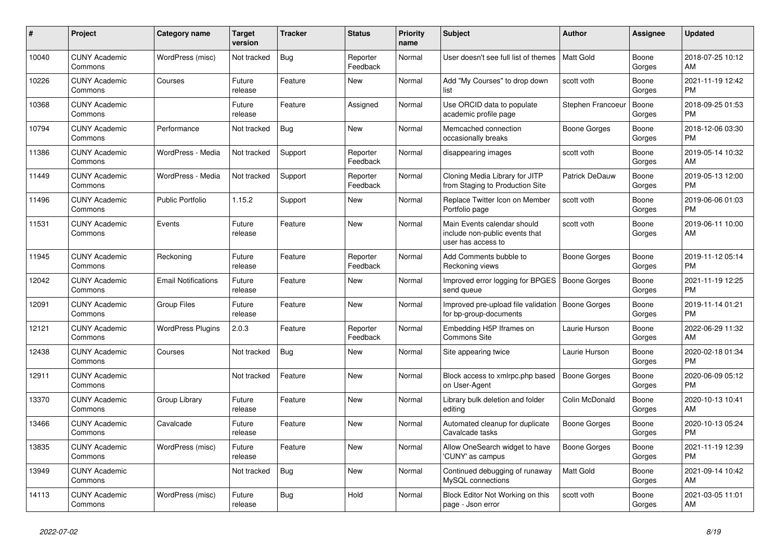| #     | <b>Project</b>                  | <b>Category name</b>       | <b>Target</b><br>version | <b>Tracker</b> | <b>Status</b>        | <b>Priority</b><br>name | <b>Subject</b>                                                                      | <b>Author</b>       | Assignee        | <b>Updated</b>                |
|-------|---------------------------------|----------------------------|--------------------------|----------------|----------------------|-------------------------|-------------------------------------------------------------------------------------|---------------------|-----------------|-------------------------------|
| 10040 | <b>CUNY Academic</b><br>Commons | WordPress (misc)           | Not tracked              | Bug            | Reporter<br>Feedback | Normal                  | User doesn't see full list of themes                                                | Matt Gold           | Boone<br>Gorges | 2018-07-25 10:12<br>AM        |
| 10226 | <b>CUNY Academic</b><br>Commons | Courses                    | Future<br>release        | Feature        | New                  | Normal                  | Add "My Courses" to drop down<br>list                                               | scott voth          | Boone<br>Gorges | 2021-11-19 12:42<br><b>PM</b> |
| 10368 | <b>CUNY Academic</b><br>Commons |                            | Future<br>release        | Feature        | Assigned             | Normal                  | Use ORCID data to populate<br>academic profile page                                 | Stephen Francoeur   | Boone<br>Gorges | 2018-09-25 01:53<br><b>PM</b> |
| 10794 | <b>CUNY Academic</b><br>Commons | Performance                | Not tracked              | Bug            | <b>New</b>           | Normal                  | Memcached connection<br>occasionally breaks                                         | Boone Gorges        | Boone<br>Gorges | 2018-12-06 03:30<br><b>PM</b> |
| 11386 | <b>CUNY Academic</b><br>Commons | WordPress - Media          | Not tracked              | Support        | Reporter<br>Feedback | Normal                  | disappearing images                                                                 | scott voth          | Boone<br>Gorges | 2019-05-14 10:32<br>AM        |
| 11449 | <b>CUNY Academic</b><br>Commons | WordPress - Media          | Not tracked              | Support        | Reporter<br>Feedback | Normal                  | Cloning Media Library for JITP<br>from Staging to Production Site                   | Patrick DeDauw      | Boone<br>Gorges | 2019-05-13 12:00<br><b>PM</b> |
| 11496 | <b>CUNY Academic</b><br>Commons | <b>Public Portfolio</b>    | 1.15.2                   | Support        | <b>New</b>           | Normal                  | Replace Twitter Icon on Member<br>Portfolio page                                    | scott voth          | Boone<br>Gorges | 2019-06-06 01:03<br><b>PM</b> |
| 11531 | <b>CUNY Academic</b><br>Commons | Events                     | Future<br>release        | Feature        | <b>New</b>           | Normal                  | Main Events calendar should<br>include non-public events that<br>user has access to | scott voth          | Boone<br>Gorges | 2019-06-11 10:00<br>AM        |
| 11945 | <b>CUNY Academic</b><br>Commons | Reckoning                  | Future<br>release        | Feature        | Reporter<br>Feedback | Normal                  | Add Comments bubble to<br>Reckoning views                                           | <b>Boone Gorges</b> | Boone<br>Gorges | 2019-11-12 05:14<br>PM        |
| 12042 | <b>CUNY Academic</b><br>Commons | <b>Email Notifications</b> | Future<br>release        | Feature        | <b>New</b>           | Normal                  | Improved error logging for BPGES<br>send queue                                      | Boone Gorges        | Boone<br>Gorges | 2021-11-19 12:25<br><b>PM</b> |
| 12091 | <b>CUNY Academic</b><br>Commons | <b>Group Files</b>         | Future<br>release        | Feature        | New                  | Normal                  | Improved pre-upload file validation<br>for bp-group-documents                       | <b>Boone Gorges</b> | Boone<br>Gorges | 2019-11-14 01:21<br><b>PM</b> |
| 12121 | <b>CUNY Academic</b><br>Commons | <b>WordPress Plugins</b>   | 2.0.3                    | Feature        | Reporter<br>Feedback | Normal                  | Embedding H5P Iframes on<br>Commons Site                                            | Laurie Hurson       | Boone<br>Gorges | 2022-06-29 11:32<br>AM        |
| 12438 | <b>CUNY Academic</b><br>Commons | Courses                    | Not tracked              | Bug            | <b>New</b>           | Normal                  | Site appearing twice                                                                | Laurie Hurson       | Boone<br>Gorges | 2020-02-18 01:34<br><b>PM</b> |
| 12911 | <b>CUNY Academic</b><br>Commons |                            | Not tracked              | Feature        | <b>New</b>           | Normal                  | Block access to xmlrpc.php based<br>on User-Agent                                   | Boone Gorges        | Boone<br>Gorges | 2020-06-09 05:12<br><b>PM</b> |
| 13370 | <b>CUNY Academic</b><br>Commons | Group Library              | Future<br>release        | Feature        | New                  | Normal                  | Library bulk deletion and folder<br>editing                                         | Colin McDonald      | Boone<br>Gorges | 2020-10-13 10:41<br>AM        |
| 13466 | <b>CUNY Academic</b><br>Commons | Cavalcade                  | Future<br>release        | Feature        | <b>New</b>           | Normal                  | Automated cleanup for duplicate<br>Cavalcade tasks                                  | <b>Boone Gorges</b> | Boone<br>Gorges | 2020-10-13 05:24<br><b>PM</b> |
| 13835 | <b>CUNY Academic</b><br>Commons | WordPress (misc)           | Future<br>release        | Feature        | <b>New</b>           | Normal                  | Allow OneSearch widget to have<br>'CUNY' as campus                                  | Boone Gorges        | Boone<br>Gorges | 2021-11-19 12:39<br><b>PM</b> |
| 13949 | <b>CUNY Academic</b><br>Commons |                            | Not tracked              | Bug            | <b>New</b>           | Normal                  | Continued debugging of runaway<br>MySQL connections                                 | <b>Matt Gold</b>    | Boone<br>Gorges | 2021-09-14 10:42<br>AM        |
| 14113 | <b>CUNY Academic</b><br>Commons | WordPress (misc)           | Future<br>release        | Bug            | Hold                 | Normal                  | Block Editor Not Working on this<br>page - Json error                               | scott voth          | Boone<br>Gorges | 2021-03-05 11:01<br>AM        |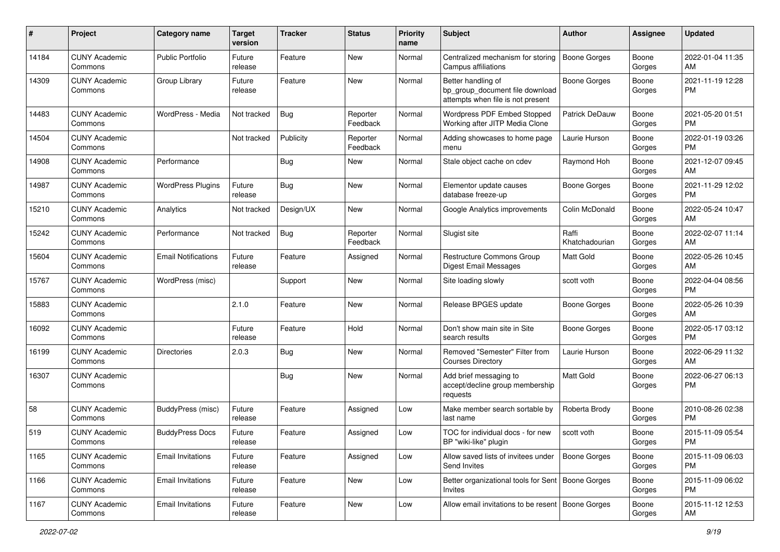| #     | Project                         | <b>Category name</b>       | <b>Target</b><br>version | <b>Tracker</b> | <b>Status</b>        | <b>Priority</b><br>name | <b>Subject</b>                                                                             | <b>Author</b>           | <b>Assignee</b> | <b>Updated</b>                |
|-------|---------------------------------|----------------------------|--------------------------|----------------|----------------------|-------------------------|--------------------------------------------------------------------------------------------|-------------------------|-----------------|-------------------------------|
| 14184 | <b>CUNY Academic</b><br>Commons | <b>Public Portfolio</b>    | Future<br>release        | Feature        | New                  | Normal                  | Centralized mechanism for storing<br>Campus affiliations                                   | <b>Boone Gorges</b>     | Boone<br>Gorges | 2022-01-04 11:35<br>AM        |
| 14309 | <b>CUNY Academic</b><br>Commons | Group Library              | Future<br>release        | Feature        | New                  | Normal                  | Better handling of<br>bp_group_document file download<br>attempts when file is not present | <b>Boone Gorges</b>     | Boone<br>Gorges | 2021-11-19 12:28<br><b>PM</b> |
| 14483 | <b>CUNY Academic</b><br>Commons | WordPress - Media          | Not tracked              | Bug            | Reporter<br>Feedback | Normal                  | Wordpress PDF Embed Stopped<br>Working after JITP Media Clone                              | Patrick DeDauw          | Boone<br>Gorges | 2021-05-20 01:51<br><b>PM</b> |
| 14504 | <b>CUNY Academic</b><br>Commons |                            | Not tracked              | Publicity      | Reporter<br>Feedback | Normal                  | Adding showcases to home page<br>menu                                                      | Laurie Hurson           | Boone<br>Gorges | 2022-01-19 03:26<br>PM.       |
| 14908 | <b>CUNY Academic</b><br>Commons | Performance                |                          | Bug            | New                  | Normal                  | Stale object cache on cdev                                                                 | Raymond Hoh             | Boone<br>Gorges | 2021-12-07 09:45<br>AM        |
| 14987 | <b>CUNY Academic</b><br>Commons | <b>WordPress Plugins</b>   | Future<br>release        | Bug            | New                  | Normal                  | Elementor update causes<br>database freeze-up                                              | Boone Gorges            | Boone<br>Gorges | 2021-11-29 12:02<br><b>PM</b> |
| 15210 | <b>CUNY Academic</b><br>Commons | Analytics                  | Not tracked              | Design/UX      | New                  | Normal                  | Google Analytics improvements                                                              | Colin McDonald          | Boone<br>Gorges | 2022-05-24 10:47<br>AM        |
| 15242 | <b>CUNY Academic</b><br>Commons | Performance                | Not tracked              | Bug            | Reporter<br>Feedback | Normal                  | Slugist site                                                                               | Raffi<br>Khatchadourian | Boone<br>Gorges | 2022-02-07 11:14<br>AM        |
| 15604 | <b>CUNY Academic</b><br>Commons | <b>Email Notifications</b> | Future<br>release        | Feature        | Assigned             | Normal                  | Restructure Commons Group<br>Digest Email Messages                                         | <b>Matt Gold</b>        | Boone<br>Gorges | 2022-05-26 10:45<br>AM        |
| 15767 | <b>CUNY Academic</b><br>Commons | WordPress (misc)           |                          | Support        | New                  | Normal                  | Site loading slowly                                                                        | scott voth              | Boone<br>Gorges | 2022-04-04 08:56<br><b>PM</b> |
| 15883 | <b>CUNY Academic</b><br>Commons |                            | 2.1.0                    | Feature        | New                  | Normal                  | Release BPGES update                                                                       | Boone Gorges            | Boone<br>Gorges | 2022-05-26 10:39<br>AM        |
| 16092 | <b>CUNY Academic</b><br>Commons |                            | Future<br>release        | Feature        | Hold                 | Normal                  | Don't show main site in Site<br>search results                                             | Boone Gorges            | Boone<br>Gorges | 2022-05-17 03:12<br>PM.       |
| 16199 | <b>CUNY Academic</b><br>Commons | Directories                | 2.0.3                    | Bug            | <b>New</b>           | Normal                  | Removed "Semester" Filter from<br><b>Courses Directory</b>                                 | Laurie Hurson           | Boone<br>Gorges | 2022-06-29 11:32<br>AM        |
| 16307 | <b>CUNY Academic</b><br>Commons |                            |                          | <b>Bug</b>     | New                  | Normal                  | Add brief messaging to<br>accept/decline group membership<br>requests                      | <b>Matt Gold</b>        | Boone<br>Gorges | 2022-06-27 06:13<br><b>PM</b> |
| 58    | <b>CUNY Academic</b><br>Commons | BuddyPress (misc)          | Future<br>release        | Feature        | Assigned             | Low                     | Make member search sortable by<br>last name                                                | Roberta Brody           | Boone<br>Gorges | 2010-08-26 02:38<br><b>PM</b> |
| 519   | <b>CUNY Academic</b><br>Commons | <b>BuddyPress Docs</b>     | Future<br>release        | Feature        | Assigned             | Low                     | TOC for individual docs - for new<br>BP "wiki-like" plugin                                 | scott voth              | Boone<br>Gorges | 2015-11-09 05:54<br>PM        |
| 1165  | <b>CUNY Academic</b><br>Commons | Email Invitations          | Future<br>release        | Feature        | Assigned             | Low                     | Allow saved lists of invitees under<br>Send Invites                                        | Boone Gorges            | Boone<br>Gorges | 2015-11-09 06:03<br><b>PM</b> |
| 1166  | <b>CUNY Academic</b><br>Commons | <b>Email Invitations</b>   | Future<br>release        | Feature        | New                  | Low                     | Better organizational tools for Sent   Boone Gorges<br>Invites                             |                         | Boone<br>Gorges | 2015-11-09 06:02<br><b>PM</b> |
| 1167  | <b>CUNY Academic</b><br>Commons | <b>Email Invitations</b>   | Future<br>release        | Feature        | New                  | Low                     | Allow email invitations to be resent                                                       | Boone Gorges            | Boone<br>Gorges | 2015-11-12 12:53<br>AM        |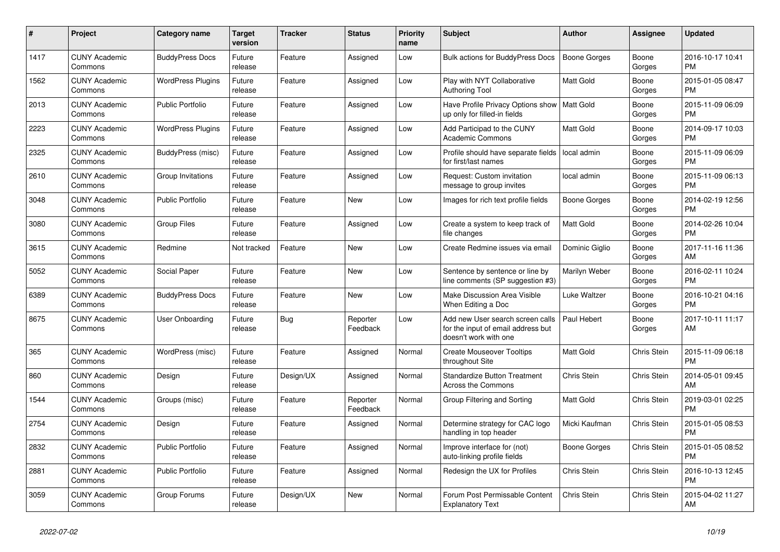| $\pmb{\#}$ | <b>Project</b>                  | Category name            | <b>Target</b><br>version | Tracker    | <b>Status</b>        | <b>Priority</b><br>name | <b>Subject</b>                                                                                  | <b>Author</b>    | Assignee           | <b>Updated</b>                |
|------------|---------------------------------|--------------------------|--------------------------|------------|----------------------|-------------------------|-------------------------------------------------------------------------------------------------|------------------|--------------------|-------------------------------|
| 1417       | <b>CUNY Academic</b><br>Commons | <b>BuddyPress Docs</b>   | Future<br>release        | Feature    | Assigned             | Low                     | <b>Bulk actions for BuddyPress Docs</b>                                                         | Boone Gorges     | Boone<br>Gorges    | 2016-10-17 10:41<br><b>PM</b> |
| 1562       | <b>CUNY Academic</b><br>Commons | <b>WordPress Plugins</b> | Future<br>release        | Feature    | Assigned             | Low                     | Play with NYT Collaborative<br><b>Authoring Tool</b>                                            | Matt Gold        | Boone<br>Gorges    | 2015-01-05 08:47<br><b>PM</b> |
| 2013       | <b>CUNY Academic</b><br>Commons | <b>Public Portfolio</b>  | Future<br>release        | Feature    | Assigned             | Low                     | Have Profile Privacy Options show<br>up only for filled-in fields                               | Matt Gold        | Boone<br>Gorges    | 2015-11-09 06:09<br><b>PM</b> |
| 2223       | <b>CUNY Academic</b><br>Commons | <b>WordPress Plugins</b> | Future<br>release        | Feature    | Assigned             | Low                     | Add Participad to the CUNY<br><b>Academic Commons</b>                                           | <b>Matt Gold</b> | Boone<br>Gorges    | 2014-09-17 10:03<br><b>PM</b> |
| 2325       | <b>CUNY Academic</b><br>Commons | BuddyPress (misc)        | Future<br>release        | Feature    | Assigned             | Low                     | Profile should have separate fields<br>for first/last names                                     | local admin      | Boone<br>Gorges    | 2015-11-09 06:09<br><b>PM</b> |
| 2610       | <b>CUNY Academic</b><br>Commons | Group Invitations        | Future<br>release        | Feature    | Assigned             | Low                     | Request: Custom invitation<br>message to group invites                                          | local admin      | Boone<br>Gorges    | 2015-11-09 06:13<br><b>PM</b> |
| 3048       | <b>CUNY Academic</b><br>Commons | <b>Public Portfolio</b>  | Future<br>release        | Feature    | New                  | Low                     | Images for rich text profile fields                                                             | Boone Gorges     | Boone<br>Gorges    | 2014-02-19 12:56<br><b>PM</b> |
| 3080       | <b>CUNY Academic</b><br>Commons | <b>Group Files</b>       | Future<br>release        | Feature    | Assigned             | Low                     | Create a system to keep track of<br>file changes                                                | <b>Matt Gold</b> | Boone<br>Gorges    | 2014-02-26 10:04<br><b>PM</b> |
| 3615       | <b>CUNY Academic</b><br>Commons | Redmine                  | Not tracked              | Feature    | <b>New</b>           | Low                     | Create Redmine issues via email                                                                 | Dominic Giglio   | Boone<br>Gorges    | 2017-11-16 11:36<br>AM        |
| 5052       | <b>CUNY Academic</b><br>Commons | Social Paper             | Future<br>release        | Feature    | <b>New</b>           | Low                     | Sentence by sentence or line by<br>line comments (SP suggestion #3)                             | Marilyn Weber    | Boone<br>Gorges    | 2016-02-11 10:24<br><b>PM</b> |
| 6389       | <b>CUNY Academic</b><br>Commons | <b>BuddyPress Docs</b>   | Future<br>release        | Feature    | New                  | Low                     | Make Discussion Area Visible<br>When Editing a Doc                                              | Luke Waltzer     | Boone<br>Gorges    | 2016-10-21 04:16<br><b>PM</b> |
| 8675       | <b>CUNY Academic</b><br>Commons | <b>User Onboarding</b>   | Future<br>release        | <b>Bug</b> | Reporter<br>Feedback | Low                     | Add new User search screen calls<br>for the input of email address but<br>doesn't work with one | Paul Hebert      | Boone<br>Gorges    | 2017-10-11 11:17<br>AM        |
| 365        | <b>CUNY Academic</b><br>Commons | WordPress (misc)         | Future<br>release        | Feature    | Assigned             | Normal                  | <b>Create Mouseover Tooltips</b><br>throughout Site                                             | <b>Matt Gold</b> | Chris Stein        | 2015-11-09 06:18<br><b>PM</b> |
| 860        | <b>CUNY Academic</b><br>Commons | Design                   | Future<br>release        | Design/UX  | Assigned             | Normal                  | <b>Standardize Button Treatment</b><br>Across the Commons                                       | Chris Stein      | Chris Stein        | 2014-05-01 09:45<br>AM        |
| 1544       | <b>CUNY Academic</b><br>Commons | Groups (misc)            | Future<br>release        | Feature    | Reporter<br>Feedback | Normal                  | Group Filtering and Sorting                                                                     | <b>Matt Gold</b> | Chris Stein        | 2019-03-01 02:25<br><b>PM</b> |
| 2754       | <b>CUNY Academic</b><br>Commons | Design                   | Future<br>release        | Feature    | Assigned             | Normal                  | Determine strategy for CAC logo<br>handling in top header                                       | Micki Kaufman    | Chris Stein        | 2015-01-05 08:53<br><b>PM</b> |
| 2832       | <b>CUNY Academic</b><br>Commons | <b>Public Portfolio</b>  | Future<br>release        | Feature    | Assigned             | Normal                  | Improve interface for (not)<br>auto-linking profile fields                                      | Boone Gorges     | Chris Stein        | 2015-01-05 08:52<br><b>PM</b> |
| 2881       | <b>CUNY Academic</b><br>Commons | <b>Public Portfolio</b>  | Future<br>release        | Feature    | Assigned             | Normal                  | Redesign the UX for Profiles                                                                    | Chris Stein      | Chris Stein        | 2016-10-13 12:45<br><b>PM</b> |
| 3059       | <b>CUNY Academic</b><br>Commons | Group Forums             | Future<br>release        | Design/UX  | <b>New</b>           | Normal                  | Forum Post Permissable Content<br><b>Explanatory Text</b>                                       | Chris Stein      | <b>Chris Stein</b> | 2015-04-02 11:27<br>AM        |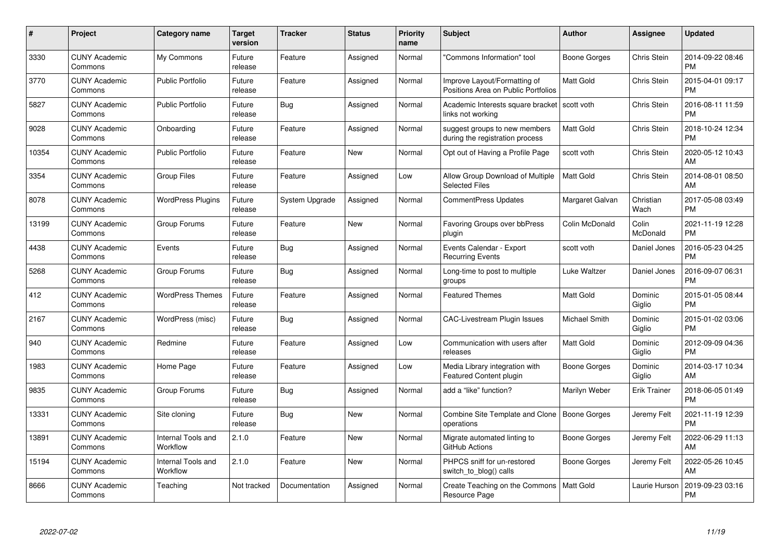| #     | Project                         | <b>Category name</b>           | Target<br>version | <b>Tracker</b> | <b>Status</b> | Priority<br>name | <b>Subject</b>                                                      | <b>Author</b>    | <b>Assignee</b>     | <b>Updated</b>                |
|-------|---------------------------------|--------------------------------|-------------------|----------------|---------------|------------------|---------------------------------------------------------------------|------------------|---------------------|-------------------------------|
| 3330  | <b>CUNY Academic</b><br>Commons | My Commons                     | Future<br>release | Feature        | Assigned      | Normal           | "Commons Information" tool                                          | Boone Gorges     | Chris Stein         | 2014-09-22 08:46<br><b>PM</b> |
| 3770  | <b>CUNY Academic</b><br>Commons | <b>Public Portfolio</b>        | Future<br>release | Feature        | Assigned      | Normal           | Improve Layout/Formatting of<br>Positions Area on Public Portfolios | <b>Matt Gold</b> | Chris Stein         | 2015-04-01 09:17<br><b>PM</b> |
| 5827  | <b>CUNY Academic</b><br>Commons | <b>Public Portfolio</b>        | Future<br>release | Bug            | Assigned      | Normal           | Academic Interests square bracket<br>links not working              | scott voth       | Chris Stein         | 2016-08-11 11:59<br><b>PM</b> |
| 9028  | <b>CUNY Academic</b><br>Commons | Onboarding                     | Future<br>release | Feature        | Assigned      | Normal           | suggest groups to new members<br>during the registration process    | Matt Gold        | Chris Stein         | 2018-10-24 12:34<br><b>PM</b> |
| 10354 | <b>CUNY Academic</b><br>Commons | <b>Public Portfolio</b>        | Future<br>release | Feature        | <b>New</b>    | Normal           | Opt out of Having a Profile Page                                    | scott voth       | Chris Stein         | 2020-05-12 10:43<br>AM        |
| 3354  | <b>CUNY Academic</b><br>Commons | <b>Group Files</b>             | Future<br>release | Feature        | Assigned      | Low              | Allow Group Download of Multiple<br><b>Selected Files</b>           | <b>Matt Gold</b> | Chris Stein         | 2014-08-01 08:50<br><b>AM</b> |
| 8078  | <b>CUNY Academic</b><br>Commons | <b>WordPress Plugins</b>       | Future<br>release | System Upgrade | Assigned      | Normal           | CommentPress Updates                                                | Margaret Galvan  | Christian<br>Wach   | 2017-05-08 03:49<br><b>PM</b> |
| 13199 | <b>CUNY Academic</b><br>Commons | Group Forums                   | Future<br>release | Feature        | <b>New</b>    | Normal           | Favoring Groups over bbPress<br>plugin                              | Colin McDonald   | Colin<br>McDonald   | 2021-11-19 12:28<br><b>PM</b> |
| 4438  | <b>CUNY Academic</b><br>Commons | Events                         | Future<br>release | Bug            | Assigned      | Normal           | Events Calendar - Export<br><b>Recurring Events</b>                 | scott voth       | Daniel Jones        | 2016-05-23 04:25<br><b>PM</b> |
| 5268  | <b>CUNY Academic</b><br>Commons | Group Forums                   | Future<br>release | <b>Bug</b>     | Assigned      | Normal           | Long-time to post to multiple<br>groups                             | Luke Waltzer     | Daniel Jones        | 2016-09-07 06:31<br>PM        |
| 412   | <b>CUNY Academic</b><br>Commons | <b>WordPress Themes</b>        | Future<br>release | Feature        | Assigned      | Normal           | <b>Featured Themes</b>                                              | <b>Matt Gold</b> | Dominic<br>Giglio   | 2015-01-05 08:44<br><b>PM</b> |
| 2167  | <b>CUNY Academic</b><br>Commons | WordPress (misc)               | Future<br>release | Bug            | Assigned      | Normal           | <b>CAC-Livestream Plugin Issues</b>                                 | Michael Smith    | Dominic<br>Giglio   | 2015-01-02 03:06<br><b>PM</b> |
| 940   | <b>CUNY Academic</b><br>Commons | Redmine                        | Future<br>release | Feature        | Assigned      | Low              | Communication with users after<br>releases                          | Matt Gold        | Dominic<br>Giglio   | 2012-09-09 04:36<br><b>PM</b> |
| 1983  | <b>CUNY Academic</b><br>Commons | Home Page                      | Future<br>release | Feature        | Assigned      | Low              | Media Library integration with<br><b>Featured Content plugin</b>    | Boone Gorges     | Dominic<br>Giglio   | 2014-03-17 10:34<br>AM.       |
| 9835  | <b>CUNY Academic</b><br>Commons | Group Forums                   | Future<br>release | Bug            | Assigned      | Normal           | add a "like" function?                                              | Marilyn Weber    | <b>Erik Trainer</b> | 2018-06-05 01:49<br><b>PM</b> |
| 13331 | <b>CUNY Academic</b><br>Commons | Site cloning                   | Future<br>release | Bug            | <b>New</b>    | Normal           | Combine Site Template and Clone   Boone Gorges<br>operations        |                  | Jeremy Felt         | 2021-11-19 12:39<br><b>PM</b> |
| 13891 | <b>CUNY Academic</b><br>Commons | Internal Tools and<br>Workflow | 2.1.0             | Feature        | <b>New</b>    | Normal           | Migrate automated linting to<br>GitHub Actions                      | Boone Gorges     | Jeremy Felt         | 2022-06-29 11:13<br>AM        |
| 15194 | <b>CUNY Academic</b><br>Commons | Internal Tools and<br>Workflow | 2.1.0             | Feature        | <b>New</b>    | Normal           | PHPCS sniff for un-restored<br>switch_to_blog() calls               | Boone Gorges     | Jeremy Felt         | 2022-05-26 10:45<br>AM        |
| 8666  | <b>CUNY Academic</b><br>Commons | Teaching                       | Not tracked       | Documentation  | Assigned      | Normal           | Create Teaching on the Commons<br>Resource Page                     | <b>Matt Gold</b> | Laurie Hurson       | 2019-09-23 03:16<br>PM        |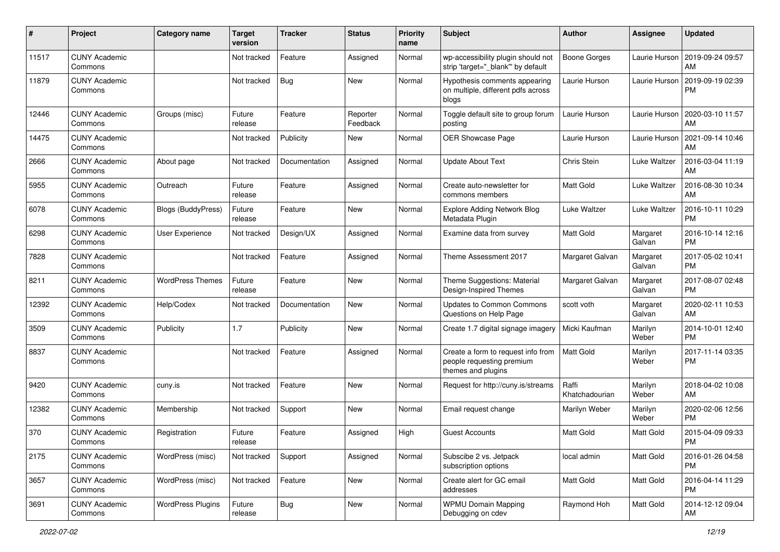| #     | Project                         | Category name            | <b>Target</b><br>version | Tracker       | <b>Status</b>        | <b>Priority</b><br>name | <b>Subject</b>                                                                        | Author                  | <b>Assignee</b>    | <b>Updated</b>                |
|-------|---------------------------------|--------------------------|--------------------------|---------------|----------------------|-------------------------|---------------------------------------------------------------------------------------|-------------------------|--------------------|-------------------------------|
| 11517 | <b>CUNY Academic</b><br>Commons |                          | Not tracked              | Feature       | Assigned             | Normal                  | wp-accessibility plugin should not<br>strip 'target=" blank" by default               | Boone Gorges            | Laurie Hurson      | 2019-09-24 09:57<br>AM        |
| 11879 | <b>CUNY Academic</b><br>Commons |                          | Not tracked              | Bug           | New                  | Normal                  | Hypothesis comments appearing<br>on multiple, different pdfs across<br>blogs          | Laurie Hurson           | Laurie Hurson      | 2019-09-19 02:39<br><b>PM</b> |
| 12446 | <b>CUNY Academic</b><br>Commons | Groups (misc)            | Future<br>release        | Feature       | Reporter<br>Feedback | Normal                  | Toggle default site to group forum<br>posting                                         | Laurie Hurson           | Laurie Hurson      | 2020-03-10 11:57<br>AM        |
| 14475 | <b>CUNY Academic</b><br>Commons |                          | Not tracked              | Publicity     | New                  | Normal                  | OER Showcase Page                                                                     | Laurie Hurson           | Laurie Hurson      | 2021-09-14 10:46<br>AM        |
| 2666  | <b>CUNY Academic</b><br>Commons | About page               | Not tracked              | Documentation | Assigned             | Normal                  | <b>Update About Text</b>                                                              | Chris Stein             | Luke Waltzer       | 2016-03-04 11:19<br>AM        |
| 5955  | <b>CUNY Academic</b><br>Commons | Outreach                 | Future<br>release        | Feature       | Assigned             | Normal                  | Create auto-newsletter for<br>commons members                                         | <b>Matt Gold</b>        | Luke Waltzer       | 2016-08-30 10:34<br>AM        |
| 6078  | <b>CUNY Academic</b><br>Commons | Blogs (BuddyPress)       | Future<br>release        | Feature       | <b>New</b>           | Normal                  | <b>Explore Adding Network Blog</b><br>Metadata Plugin                                 | Luke Waltzer            | Luke Waltzer       | 2016-10-11 10:29<br><b>PM</b> |
| 6298  | <b>CUNY Academic</b><br>Commons | User Experience          | Not tracked              | Design/UX     | Assigned             | Normal                  | Examine data from survey                                                              | <b>Matt Gold</b>        | Margaret<br>Galvan | 2016-10-14 12:16<br><b>PM</b> |
| 7828  | <b>CUNY Academic</b><br>Commons |                          | Not tracked              | Feature       | Assigned             | Normal                  | Theme Assessment 2017                                                                 | Margaret Galvan         | Margaret<br>Galvan | 2017-05-02 10:41<br><b>PM</b> |
| 8211  | <b>CUNY Academic</b><br>Commons | <b>WordPress Themes</b>  | Future<br>release        | Feature       | New                  | Normal                  | Theme Suggestions: Material<br>Design-Inspired Themes                                 | Margaret Galvan         | Margaret<br>Galvan | 2017-08-07 02:48<br><b>PM</b> |
| 12392 | <b>CUNY Academic</b><br>Commons | Help/Codex               | Not tracked              | Documentation | <b>New</b>           | Normal                  | <b>Updates to Common Commons</b><br>Questions on Help Page                            | scott voth              | Margaret<br>Galvan | 2020-02-11 10:53<br>AM        |
| 3509  | <b>CUNY Academic</b><br>Commons | Publicity                | 1.7                      | Publicity     | <b>New</b>           | Normal                  | Create 1.7 digital signage imagery                                                    | Micki Kaufman           | Marilyn<br>Weber   | 2014-10-01 12:40<br><b>PM</b> |
| 8837  | <b>CUNY Academic</b><br>Commons |                          | Not tracked              | Feature       | Assigned             | Normal                  | Create a form to request info from<br>people requesting premium<br>themes and plugins | Matt Gold               | Marilyn<br>Weber   | 2017-11-14 03:35<br><b>PM</b> |
| 9420  | <b>CUNY Academic</b><br>Commons | cuny.is                  | Not tracked              | Feature       | <b>New</b>           | Normal                  | Request for http://cuny.is/streams                                                    | Raffi<br>Khatchadourian | Marilyn<br>Weber   | 2018-04-02 10:08<br>AM        |
| 12382 | <b>CUNY Academic</b><br>Commons | Membership               | Not tracked              | Support       | New                  | Normal                  | Email request change                                                                  | Marilyn Weber           | Marilyn<br>Weber   | 2020-02-06 12:56<br><b>PM</b> |
| 370   | <b>CUNY Academic</b><br>Commons | Registration             | Future<br>release        | Feature       | Assigned             | High                    | <b>Guest Accounts</b>                                                                 | Matt Gold               | Matt Gold          | 2015-04-09 09:33<br>PM        |
| 2175  | <b>CUNY Academic</b><br>Commons | WordPress (misc)         | Not tracked              | Support       | Assigned             | Normal                  | Subscibe 2 vs. Jetpack<br>subscription options                                        | local admin             | Matt Gold          | 2016-01-26 04:58<br><b>PM</b> |
| 3657  | <b>CUNY Academic</b><br>Commons | WordPress (misc)         | Not tracked              | Feature       | New                  | Normal                  | Create alert for GC email<br>addresses                                                | Matt Gold               | Matt Gold          | 2016-04-14 11:29<br><b>PM</b> |
| 3691  | <b>CUNY Academic</b><br>Commons | <b>WordPress Plugins</b> | Future<br>release        | <b>Bug</b>    | New                  | Normal                  | <b>WPMU Domain Mapping</b><br>Debugging on cdev                                       | Raymond Hoh             | Matt Gold          | 2014-12-12 09:04<br>AM        |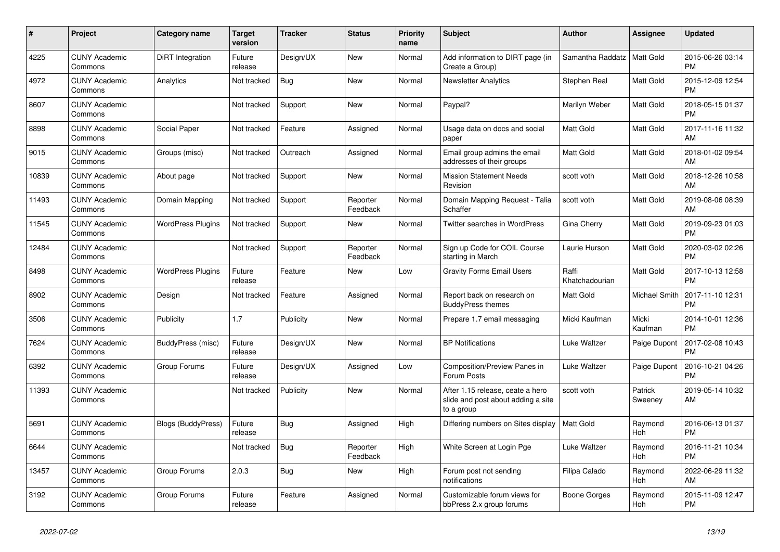| #     | <b>Project</b>                  | Category name            | <b>Target</b><br>version | <b>Tracker</b> | <b>Status</b>        | <b>Priority</b><br>name | <b>Subject</b>                                                                       | <b>Author</b>           | Assignee           | <b>Updated</b>                |
|-------|---------------------------------|--------------------------|--------------------------|----------------|----------------------|-------------------------|--------------------------------------------------------------------------------------|-------------------------|--------------------|-------------------------------|
| 4225  | <b>CUNY Academic</b><br>Commons | DiRT Integration         | Future<br>release        | Design/UX      | New                  | Normal                  | Add information to DIRT page (in<br>Create a Group)                                  | Samantha Raddatz        | Matt Gold          | 2015-06-26 03:14<br><b>PM</b> |
| 4972  | <b>CUNY Academic</b><br>Commons | Analytics                | Not tracked              | Bug            | New                  | Normal                  | <b>Newsletter Analytics</b>                                                          | Stephen Real            | Matt Gold          | 2015-12-09 12:54<br><b>PM</b> |
| 8607  | <b>CUNY Academic</b><br>Commons |                          | Not tracked              | Support        | New                  | Normal                  | Paypal?                                                                              | Marilyn Weber           | Matt Gold          | 2018-05-15 01:37<br><b>PM</b> |
| 8898  | <b>CUNY Academic</b><br>Commons | Social Paper             | Not tracked              | Feature        | Assigned             | Normal                  | Usage data on docs and social<br>paper                                               | <b>Matt Gold</b>        | Matt Gold          | 2017-11-16 11:32<br>AM        |
| 9015  | <b>CUNY Academic</b><br>Commons | Groups (misc)            | Not tracked              | Outreach       | Assigned             | Normal                  | Email group admins the email<br>addresses of their groups                            | Matt Gold               | Matt Gold          | 2018-01-02 09:54<br>AM        |
| 10839 | <b>CUNY Academic</b><br>Commons | About page               | Not tracked              | Support        | New                  | Normal                  | <b>Mission Statement Needs</b><br>Revision                                           | scott voth              | Matt Gold          | 2018-12-26 10:58<br>AM        |
| 11493 | <b>CUNY Academic</b><br>Commons | Domain Mapping           | Not tracked              | Support        | Reporter<br>Feedback | Normal                  | Domain Mapping Request - Talia<br>Schaffer                                           | scott voth              | Matt Gold          | 2019-08-06 08:39<br>AM        |
| 11545 | <b>CUNY Academic</b><br>Commons | <b>WordPress Plugins</b> | Not tracked              | Support        | <b>New</b>           | Normal                  | <b>Twitter searches in WordPress</b>                                                 | Gina Cherry             | Matt Gold          | 2019-09-23 01:03<br><b>PM</b> |
| 12484 | <b>CUNY Academic</b><br>Commons |                          | Not tracked              | Support        | Reporter<br>Feedback | Normal                  | Sign up Code for COIL Course<br>starting in March                                    | Laurie Hurson           | Matt Gold          | 2020-03-02 02:26<br><b>PM</b> |
| 8498  | <b>CUNY Academic</b><br>Commons | <b>WordPress Plugins</b> | Future<br>release        | Feature        | New                  | Low                     | <b>Gravity Forms Email Users</b>                                                     | Raffi<br>Khatchadourian | Matt Gold          | 2017-10-13 12:58<br><b>PM</b> |
| 8902  | <b>CUNY Academic</b><br>Commons | Design                   | Not tracked              | Feature        | Assigned             | Normal                  | Report back on research on<br><b>BuddyPress themes</b>                               | Matt Gold               | Michael Smith      | 2017-11-10 12:31<br><b>PM</b> |
| 3506  | <b>CUNY Academic</b><br>Commons | Publicity                | 1.7                      | Publicity      | New                  | Normal                  | Prepare 1.7 email messaging                                                          | Micki Kaufman           | Micki<br>Kaufman   | 2014-10-01 12:36<br><b>PM</b> |
| 7624  | <b>CUNY Academic</b><br>Commons | BuddyPress (misc)        | Future<br>release        | Design/UX      | New                  | Normal                  | <b>BP Notifications</b>                                                              | Luke Waltzer            | Paige Dupont       | 2017-02-08 10:43<br><b>PM</b> |
| 6392  | <b>CUNY Academic</b><br>Commons | Group Forums             | Future<br>release        | Design/UX      | Assigned             | Low                     | <b>Composition/Preview Panes in</b><br>Forum Posts                                   | Luke Waltzer            | Paige Dupont       | 2016-10-21 04:26<br><b>PM</b> |
| 11393 | <b>CUNY Academic</b><br>Commons |                          | Not tracked              | Publicity      | <b>New</b>           | Normal                  | After 1.15 release, ceate a hero<br>slide and post about adding a site<br>to a group | scott voth              | Patrick<br>Sweeney | 2019-05-14 10:32<br>AM        |
| 5691  | <b>CUNY Academic</b><br>Commons | Blogs (BuddyPress)       | Future<br>release        | Bug            | Assigned             | High                    | Differing numbers on Sites display                                                   | <b>Matt Gold</b>        | Raymond<br>Hoh     | 2016-06-13 01:37<br><b>PM</b> |
| 6644  | <b>CUNY Academic</b><br>Commons |                          | Not tracked              | Bug            | Reporter<br>Feedback | High                    | White Screen at Login Pge                                                            | Luke Waltzer            | Raymond<br>Hoh     | 2016-11-21 10:34<br><b>PM</b> |
| 13457 | <b>CUNY Academic</b><br>Commons | Group Forums             | 2.0.3                    | Bug            | New                  | High                    | Forum post not sending<br>notifications                                              | Filipa Calado           | Raymond<br>Hoh     | 2022-06-29 11:32<br>AM        |
| 3192  | <b>CUNY Academic</b><br>Commons | Group Forums             | Future<br>release        | Feature        | Assigned             | Normal                  | Customizable forum views for<br>bbPress 2.x group forums                             | Boone Gorges            | Raymond<br>Hoh     | 2015-11-09 12:47<br><b>PM</b> |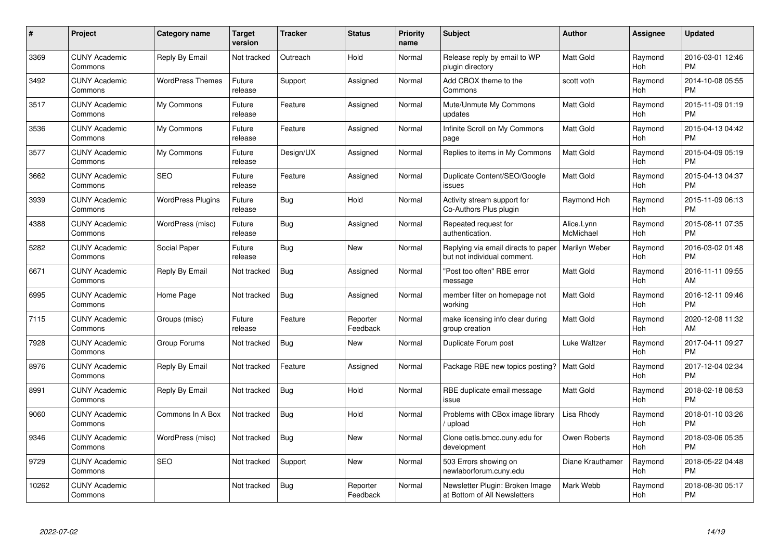| $\#$  | Project                         | <b>Category name</b>     | Target<br>version | <b>Tracker</b> | <b>Status</b>        | Priority<br>name | <b>Subject</b>                                                     | <b>Author</b>           | <b>Assignee</b> | <b>Updated</b>                |
|-------|---------------------------------|--------------------------|-------------------|----------------|----------------------|------------------|--------------------------------------------------------------------|-------------------------|-----------------|-------------------------------|
| 3369  | <b>CUNY Academic</b><br>Commons | Reply By Email           | Not tracked       | Outreach       | Hold                 | Normal           | Release reply by email to WP<br>plugin directory                   | <b>Matt Gold</b>        | Raymond<br>Hoh  | 2016-03-01 12:46<br><b>PM</b> |
| 3492  | <b>CUNY Academic</b><br>Commons | <b>WordPress Themes</b>  | Future<br>release | Support        | Assigned             | Normal           | Add CBOX theme to the<br>Commons                                   | scott voth              | Raymond<br>Hoh  | 2014-10-08 05:55<br><b>PM</b> |
| 3517  | <b>CUNY Academic</b><br>Commons | My Commons               | Future<br>release | Feature        | Assigned             | Normal           | Mute/Unmute My Commons<br>updates                                  | <b>Matt Gold</b>        | Raymond<br>Hoh  | 2015-11-09 01:19<br><b>PM</b> |
| 3536  | <b>CUNY Academic</b><br>Commons | My Commons               | Future<br>release | Feature        | Assigned             | Normal           | Infinite Scroll on My Commons<br>page                              | <b>Matt Gold</b>        | Raymond<br>Hoh  | 2015-04-13 04:42<br><b>PM</b> |
| 3577  | <b>CUNY Academic</b><br>Commons | My Commons               | Future<br>release | Design/UX      | Assigned             | Normal           | Replies to items in My Commons                                     | <b>Matt Gold</b>        | Raymond<br>Hoh  | 2015-04-09 05:19<br><b>PM</b> |
| 3662  | <b>CUNY Academic</b><br>Commons | <b>SEO</b>               | Future<br>release | Feature        | Assigned             | Normal           | Duplicate Content/SEO/Google<br>issues                             | <b>Matt Gold</b>        | Raymond<br>Hoh  | 2015-04-13 04:37<br><b>PM</b> |
| 3939  | <b>CUNY Academic</b><br>Commons | <b>WordPress Plugins</b> | Future<br>release | Bug            | Hold                 | Normal           | Activity stream support for<br>Co-Authors Plus plugin              | Raymond Hoh             | Raymond<br>Hoh  | 2015-11-09 06:13<br><b>PM</b> |
| 4388  | <b>CUNY Academic</b><br>Commons | WordPress (misc)         | Future<br>release | Bug            | Assigned             | Normal           | Repeated request for<br>authentication.                            | Alice.Lynn<br>McMichael | Raymond<br>Hoh  | 2015-08-11 07:35<br><b>PM</b> |
| 5282  | <b>CUNY Academic</b><br>Commons | Social Paper             | Future<br>release | Bug            | <b>New</b>           | Normal           | Replying via email directs to paper<br>but not individual comment. | Marilyn Weber           | Raymond<br>Hoh  | 2016-03-02 01:48<br><b>PM</b> |
| 6671  | <b>CUNY Academic</b><br>Commons | Reply By Email           | Not tracked       | Bug            | Assigned             | Normal           | "Post too often" RBE error<br>message                              | <b>Matt Gold</b>        | Raymond<br>Hoh  | 2016-11-11 09:55<br>AM        |
| 6995  | <b>CUNY Academic</b><br>Commons | Home Page                | Not tracked       | Bug            | Assigned             | Normal           | member filter on homepage not<br>working                           | <b>Matt Gold</b>        | Raymond<br>Hoh  | 2016-12-11 09:46<br><b>PM</b> |
| 7115  | <b>CUNY Academic</b><br>Commons | Groups (misc)            | Future<br>release | Feature        | Reporter<br>Feedback | Normal           | make licensing info clear during<br>group creation                 | Matt Gold               | Raymond<br>Hoh  | 2020-12-08 11:32<br>AM        |
| 7928  | <b>CUNY Academic</b><br>Commons | Group Forums             | Not tracked       | Bug            | <b>New</b>           | Normal           | Duplicate Forum post                                               | Luke Waltzer            | Raymond<br>Hoh  | 2017-04-11 09:27<br><b>PM</b> |
| 8976  | <b>CUNY Academic</b><br>Commons | Reply By Email           | Not tracked       | Feature        | Assigned             | Normal           | Package RBE new topics posting?                                    | <b>Matt Gold</b>        | Raymond<br>Hoh  | 2017-12-04 02:34<br><b>PM</b> |
| 8991  | <b>CUNY Academic</b><br>Commons | Reply By Email           | Not tracked       | Bug            | Hold                 | Normal           | RBE duplicate email message<br>issue                               | <b>Matt Gold</b>        | Raymond<br>Hoh  | 2018-02-18 08:53<br><b>PM</b> |
| 9060  | <b>CUNY Academic</b><br>Commons | Commons In A Box         | Not tracked       | Bug            | Hold                 | Normal           | Problems with CBox image library<br>/ upload                       | Lisa Rhody              | Raymond<br>Hoh  | 2018-01-10 03:26<br><b>PM</b> |
| 9346  | <b>CUNY Academic</b><br>Commons | WordPress (misc)         | Not tracked       | <b>Bug</b>     | <b>New</b>           | Normal           | Clone cetls.bmcc.cuny.edu for<br>development                       | Owen Roberts            | Raymond<br>Hoh  | 2018-03-06 05:35<br><b>PM</b> |
| 9729  | <b>CUNY Academic</b><br>Commons | <b>SEO</b>               | Not tracked       | Support        | <b>New</b>           | Normal           | 503 Errors showing on<br>newlaborforum.cuny.edu                    | Diane Krauthamer        | Raymond<br>Hoh  | 2018-05-22 04:48<br><b>PM</b> |
| 10262 | <b>CUNY Academic</b><br>Commons |                          | Not tracked       | <b>Bug</b>     | Reporter<br>Feedback | Normal           | Newsletter Plugin: Broken Image<br>at Bottom of All Newsletters    | Mark Webb               | Raymond<br>Hoh  | 2018-08-30 05:17<br><b>PM</b> |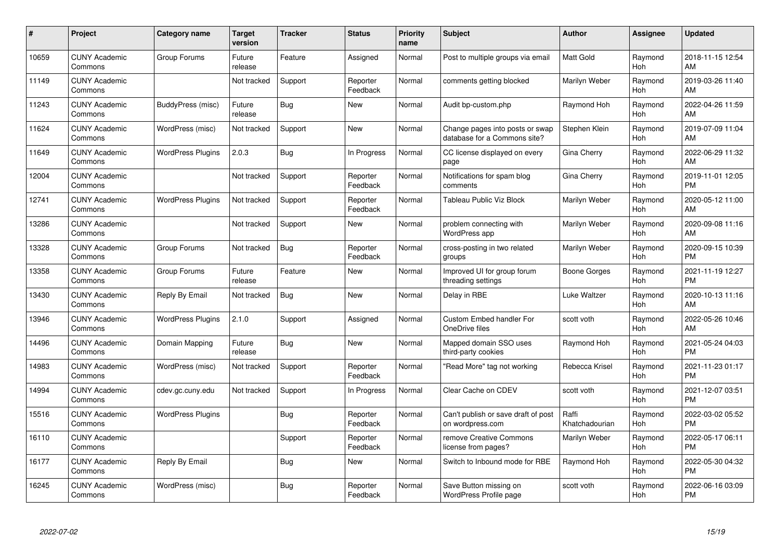| #     | Project                         | <b>Category name</b>     | <b>Target</b><br>version | <b>Tracker</b> | <b>Status</b>        | <b>Priority</b><br>name | <b>Subject</b>                                                  | <b>Author</b>           | <b>Assignee</b> | <b>Updated</b>                |
|-------|---------------------------------|--------------------------|--------------------------|----------------|----------------------|-------------------------|-----------------------------------------------------------------|-------------------------|-----------------|-------------------------------|
| 10659 | <b>CUNY Academic</b><br>Commons | Group Forums             | Future<br>release        | Feature        | Assigned             | Normal                  | Post to multiple groups via email                               | <b>Matt Gold</b>        | Raymond<br>Hoh  | 2018-11-15 12:54<br>AM        |
| 11149 | <b>CUNY Academic</b><br>Commons |                          | Not tracked              | Support        | Reporter<br>Feedback | Normal                  | comments getting blocked                                        | Marilyn Weber           | Raymond<br>Hoh  | 2019-03-26 11:40<br>AM        |
| 11243 | <b>CUNY Academic</b><br>Commons | BuddyPress (misc)        | Future<br>release        | Bug            | <b>New</b>           | Normal                  | Audit bp-custom.php                                             | Raymond Hoh             | Raymond<br>Hoh  | 2022-04-26 11:59<br>AM        |
| 11624 | <b>CUNY Academic</b><br>Commons | WordPress (misc)         | Not tracked              | Support        | <b>New</b>           | Normal                  | Change pages into posts or swap<br>database for a Commons site? | Stephen Klein           | Raymond<br>Hoh  | 2019-07-09 11:04<br>AM        |
| 11649 | <b>CUNY Academic</b><br>Commons | <b>WordPress Plugins</b> | 2.0.3                    | <b>Bug</b>     | In Progress          | Normal                  | CC license displayed on every<br>page                           | Gina Cherry             | Raymond<br>Hoh  | 2022-06-29 11:32<br>AM        |
| 12004 | <b>CUNY Academic</b><br>Commons |                          | Not tracked              | Support        | Reporter<br>Feedback | Normal                  | Notifications for spam blog<br>comments                         | Gina Cherry             | Raymond<br>Hoh  | 2019-11-01 12:05<br><b>PM</b> |
| 12741 | <b>CUNY Academic</b><br>Commons | <b>WordPress Plugins</b> | Not tracked              | Support        | Reporter<br>Feedback | Normal                  | Tableau Public Viz Block                                        | Marilyn Weber           | Raymond<br>Hoh  | 2020-05-12 11:00<br>AM        |
| 13286 | <b>CUNY Academic</b><br>Commons |                          | Not tracked              | Support        | New                  | Normal                  | problem connecting with<br>WordPress app                        | Marilyn Weber           | Raymond<br>Hoh  | 2020-09-08 11:16<br>AM        |
| 13328 | <b>CUNY Academic</b><br>Commons | Group Forums             | Not tracked              | Bug            | Reporter<br>Feedback | Normal                  | cross-posting in two related<br>groups                          | Marilyn Weber           | Raymond<br>Hoh  | 2020-09-15 10:39<br><b>PM</b> |
| 13358 | <b>CUNY Academic</b><br>Commons | Group Forums             | Future<br>release        | Feature        | <b>New</b>           | Normal                  | Improved UI for group forum<br>threading settings               | Boone Gorges            | Raymond<br>Hoh  | 2021-11-19 12:27<br><b>PM</b> |
| 13430 | <b>CUNY Academic</b><br>Commons | Reply By Email           | Not tracked              | <b>Bug</b>     | New                  | Normal                  | Delay in RBE                                                    | Luke Waltzer            | Raymond<br>Hoh  | 2020-10-13 11:16<br>AM        |
| 13946 | <b>CUNY Academic</b><br>Commons | <b>WordPress Plugins</b> | 2.1.0                    | Support        | Assigned             | Normal                  | Custom Embed handler For<br>OneDrive files                      | scott voth              | Raymond<br>Hoh  | 2022-05-26 10:46<br>AM        |
| 14496 | <b>CUNY Academic</b><br>Commons | Domain Mapping           | Future<br>release        | <b>Bug</b>     | New                  | Normal                  | Mapped domain SSO uses<br>third-party cookies                   | Raymond Hoh             | Raymond<br>Hoh  | 2021-05-24 04:03<br><b>PM</b> |
| 14983 | <b>CUNY Academic</b><br>Commons | WordPress (misc)         | Not tracked              | Support        | Reporter<br>Feedback | Normal                  | "Read More" tag not working                                     | Rebecca Krisel          | Raymond<br>Hoh  | 2021-11-23 01:17<br><b>PM</b> |
| 14994 | <b>CUNY Academic</b><br>Commons | cdev.gc.cuny.edu         | Not tracked              | Support        | In Progress          | Normal                  | Clear Cache on CDEV                                             | scott voth              | Raymond<br>Hoh  | 2021-12-07 03:51<br><b>PM</b> |
| 15516 | <b>CUNY Academic</b><br>Commons | <b>WordPress Plugins</b> |                          | Bug            | Reporter<br>Feedback | Normal                  | Can't publish or save draft of post<br>on wordpress.com         | Raffi<br>Khatchadourian | Raymond<br>Hoh  | 2022-03-02 05:52<br><b>PM</b> |
| 16110 | <b>CUNY Academic</b><br>Commons |                          |                          | Support        | Reporter<br>Feedback | Normal                  | remove Creative Commons<br>license from pages?                  | Marilyn Weber           | Raymond<br>Hoh  | 2022-05-17 06:11<br><b>PM</b> |
| 16177 | <b>CUNY Academic</b><br>Commons | Reply By Email           |                          | Bug            | New                  | Normal                  | Switch to Inbound mode for RBE                                  | Raymond Hoh             | Raymond<br>Hoh  | 2022-05-30 04:32<br><b>PM</b> |
| 16245 | <b>CUNY Academic</b><br>Commons | WordPress (misc)         |                          | Bug            | Reporter<br>Feedback | Normal                  | Save Button missing on<br>WordPress Profile page                | scott voth              | Raymond<br>Hoh  | 2022-06-16 03:09<br><b>PM</b> |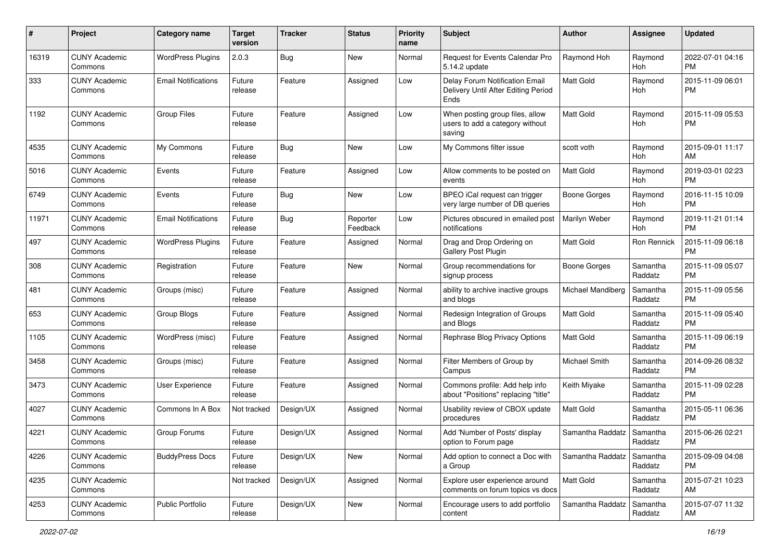| #     | Project                         | <b>Category name</b>       | <b>Target</b><br>version | <b>Tracker</b> | <b>Status</b>        | <b>Priority</b><br>name | Subject                                                                       | Author            | Assignee              | <b>Updated</b>                |
|-------|---------------------------------|----------------------------|--------------------------|----------------|----------------------|-------------------------|-------------------------------------------------------------------------------|-------------------|-----------------------|-------------------------------|
| 16319 | <b>CUNY Academic</b><br>Commons | <b>WordPress Plugins</b>   | 2.0.3                    | Bug            | <b>New</b>           | Normal                  | Request for Events Calendar Pro<br>5.14.2 update                              | Raymond Hoh       | Raymond<br>Hoh        | 2022-07-01 04:16<br><b>PM</b> |
| 333   | <b>CUNY Academic</b><br>Commons | <b>Email Notifications</b> | Future<br>release        | Feature        | Assigned             | Low                     | Delay Forum Notification Email<br>Delivery Until After Editing Period<br>Ends | <b>Matt Gold</b>  | Raymond<br>Hoh        | 2015-11-09 06:01<br><b>PM</b> |
| 1192  | <b>CUNY Academic</b><br>Commons | <b>Group Files</b>         | Future<br>release        | Feature        | Assigned             | Low                     | When posting group files, allow<br>users to add a category without<br>saving  | <b>Matt Gold</b>  | Raymond<br>Hoh        | 2015-11-09 05:53<br><b>PM</b> |
| 4535  | <b>CUNY Academic</b><br>Commons | My Commons                 | Future<br>release        | <b>Bug</b>     | New                  | Low                     | My Commons filter issue                                                       | scott voth        | Raymond<br>Hoh        | 2015-09-01 11:17<br>AM        |
| 5016  | <b>CUNY Academic</b><br>Commons | Events                     | Future<br>release        | Feature        | Assigned             | Low                     | Allow comments to be posted on<br>events                                      | <b>Matt Gold</b>  | Raymond<br>Hoh        | 2019-03-01 02:23<br><b>PM</b> |
| 6749  | <b>CUNY Academic</b><br>Commons | Events                     | Future<br>release        | Bug            | New                  | Low                     | BPEO iCal request can trigger<br>very large number of DB queries              | Boone Gorges      | Raymond<br>Hoh        | 2016-11-15 10:09<br><b>PM</b> |
| 11971 | <b>CUNY Academic</b><br>Commons | <b>Email Notifications</b> | Future<br>release        | Bug            | Reporter<br>Feedback | Low                     | Pictures obscured in emailed post<br>notifications                            | Marilyn Weber     | Raymond<br><b>Hoh</b> | 2019-11-21 01:14<br><b>PM</b> |
| 497   | <b>CUNY Academic</b><br>Commons | <b>WordPress Plugins</b>   | Future<br>release        | Feature        | Assigned             | Normal                  | Drag and Drop Ordering on<br><b>Gallery Post Plugin</b>                       | <b>Matt Gold</b>  | Ron Rennick           | 2015-11-09 06:18<br><b>PM</b> |
| 308   | <b>CUNY Academic</b><br>Commons | Registration               | Future<br>release        | Feature        | New                  | Normal                  | Group recommendations for<br>signup process                                   | Boone Gorges      | Samantha<br>Raddatz   | 2015-11-09 05:07<br><b>PM</b> |
| 481   | <b>CUNY Academic</b><br>Commons | Groups (misc)              | Future<br>release        | Feature        | Assigned             | Normal                  | ability to archive inactive groups<br>and blogs                               | Michael Mandiberg | Samantha<br>Raddatz   | 2015-11-09 05:56<br><b>PM</b> |
| 653   | <b>CUNY Academic</b><br>Commons | Group Blogs                | Future<br>release        | Feature        | Assigned             | Normal                  | Redesign Integration of Groups<br>and Blogs                                   | <b>Matt Gold</b>  | Samantha<br>Raddatz   | 2015-11-09 05:40<br><b>PM</b> |
| 1105  | <b>CUNY Academic</b><br>Commons | WordPress (misc)           | Future<br>release        | Feature        | Assigned             | Normal                  | Rephrase Blog Privacy Options                                                 | Matt Gold         | Samantha<br>Raddatz   | 2015-11-09 06:19<br><b>PM</b> |
| 3458  | <b>CUNY Academic</b><br>Commons | Groups (misc)              | Future<br>release        | Feature        | Assigned             | Normal                  | Filter Members of Group by<br>Campus                                          | Michael Smith     | Samantha<br>Raddatz   | 2014-09-26 08:32<br><b>PM</b> |
| 3473  | <b>CUNY Academic</b><br>Commons | User Experience            | Future<br>release        | Feature        | Assigned             | Normal                  | Commons profile: Add help info<br>about "Positions" replacing "title"         | Keith Miyake      | Samantha<br>Raddatz   | 2015-11-09 02:28<br><b>PM</b> |
| 4027  | <b>CUNY Academic</b><br>Commons | Commons In A Box           | Not tracked              | Design/UX      | Assigned             | Normal                  | Usability review of CBOX update<br>procedures                                 | <b>Matt Gold</b>  | Samantha<br>Raddatz   | 2015-05-11 06:36<br><b>PM</b> |
| 4221  | <b>CUNY Academic</b><br>Commons | Group Forums               | Future<br>release        | Design/UX      | Assigned             | Normal                  | Add 'Number of Posts' display<br>option to Forum page                         | Samantha Raddatz  | Samantha<br>Raddatz   | 2015-06-26 02:21<br><b>PM</b> |
| 4226  | <b>CUNY Academic</b><br>Commons | <b>BuddyPress Docs</b>     | Future<br>release        | Design/UX      | New                  | Normal                  | Add option to connect a Doc with<br>a Group                                   | Samantha Raddatz  | Samantha<br>Raddatz   | 2015-09-09 04:08<br><b>PM</b> |
| 4235  | <b>CUNY Academic</b><br>Commons |                            | Not tracked              | Design/UX      | Assigned             | Normal                  | Explore user experience around<br>comments on forum topics vs docs            | <b>Matt Gold</b>  | Samantha<br>Raddatz   | 2015-07-21 10:23<br>AM        |
| 4253  | <b>CUNY Academic</b><br>Commons | Public Portfolio           | Future<br>release        | Design/UX      | New                  | Normal                  | Encourage users to add portfolio<br>content                                   | Samantha Raddatz  | Samantha<br>Raddatz   | 2015-07-07 11:32<br>AM        |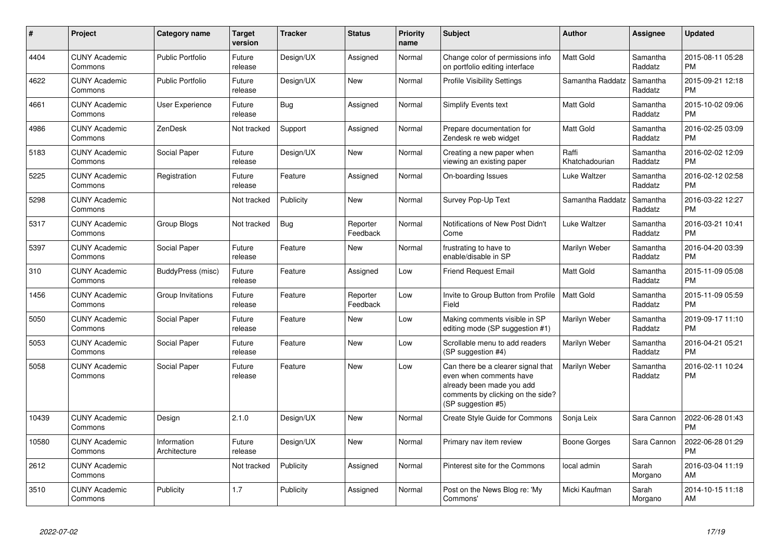| $\#$  | Project                         | <b>Category name</b>        | <b>Target</b><br>version | <b>Tracker</b> | <b>Status</b>        | <b>Priority</b><br>name | <b>Subject</b>                                                                                                                                        | <b>Author</b>           | Assignee            | <b>Updated</b>                |
|-------|---------------------------------|-----------------------------|--------------------------|----------------|----------------------|-------------------------|-------------------------------------------------------------------------------------------------------------------------------------------------------|-------------------------|---------------------|-------------------------------|
| 4404  | <b>CUNY Academic</b><br>Commons | <b>Public Portfolio</b>     | Future<br>release        | Design/UX      | Assigned             | Normal                  | Change color of permissions info<br>on portfolio editing interface                                                                                    | <b>Matt Gold</b>        | Samantha<br>Raddatz | 2015-08-11 05:28<br><b>PM</b> |
| 4622  | <b>CUNY Academic</b><br>Commons | <b>Public Portfolio</b>     | Future<br>release        | Design/UX      | <b>New</b>           | Normal                  | <b>Profile Visibility Settings</b>                                                                                                                    | Samantha Raddatz        | Samantha<br>Raddatz | 2015-09-21 12:18<br><b>PM</b> |
| 4661  | <b>CUNY Academic</b><br>Commons | <b>User Experience</b>      | Future<br>release        | Bug            | Assigned             | Normal                  | Simplify Events text                                                                                                                                  | <b>Matt Gold</b>        | Samantha<br>Raddatz | 2015-10-02 09:06<br><b>PM</b> |
| 4986  | <b>CUNY Academic</b><br>Commons | <b>ZenDesk</b>              | Not tracked              | Support        | Assigned             | Normal                  | Prepare documentation for<br>Zendesk re web widget                                                                                                    | <b>Matt Gold</b>        | Samantha<br>Raddatz | 2016-02-25 03:09<br><b>PM</b> |
| 5183  | <b>CUNY Academic</b><br>Commons | Social Paper                | Future<br>release        | Design/UX      | New                  | Normal                  | Creating a new paper when<br>viewing an existing paper                                                                                                | Raffi<br>Khatchadourian | Samantha<br>Raddatz | 2016-02-02 12:09<br><b>PM</b> |
| 5225  | <b>CUNY Academic</b><br>Commons | Registration                | Future<br>release        | Feature        | Assigned             | Normal                  | On-boarding Issues                                                                                                                                    | Luke Waltzer            | Samantha<br>Raddatz | 2016-02-12 02:58<br><b>PM</b> |
| 5298  | <b>CUNY Academic</b><br>Commons |                             | Not tracked              | Publicity      | New                  | Normal                  | Survey Pop-Up Text                                                                                                                                    | Samantha Raddatz        | Samantha<br>Raddatz | 2016-03-22 12:27<br><b>PM</b> |
| 5317  | <b>CUNY Academic</b><br>Commons | Group Blogs                 | Not tracked              | Bug            | Reporter<br>Feedback | Normal                  | Notifications of New Post Didn't<br>Come                                                                                                              | Luke Waltzer            | Samantha<br>Raddatz | 2016-03-21 10:41<br><b>PM</b> |
| 5397  | <b>CUNY Academic</b><br>Commons | Social Paper                | Future<br>release        | Feature        | New                  | Normal                  | frustrating to have to<br>enable/disable in SP                                                                                                        | Marilyn Weber           | Samantha<br>Raddatz | 2016-04-20 03:39<br><b>PM</b> |
| 310   | <b>CUNY Academic</b><br>Commons | BuddyPress (misc)           | Future<br>release        | Feature        | Assigned             | Low                     | Friend Request Email                                                                                                                                  | Matt Gold               | Samantha<br>Raddatz | 2015-11-09 05:08<br><b>PM</b> |
| 1456  | <b>CUNY Academic</b><br>Commons | Group Invitations           | Future<br>release        | Feature        | Reporter<br>Feedback | Low                     | Invite to Group Button from Profile<br>Field                                                                                                          | <b>Matt Gold</b>        | Samantha<br>Raddatz | 2015-11-09 05:59<br><b>PM</b> |
| 5050  | <b>CUNY Academic</b><br>Commons | Social Paper                | Future<br>release        | Feature        | New                  | Low                     | Making comments visible in SP<br>editing mode (SP suggestion #1)                                                                                      | Marilyn Weber           | Samantha<br>Raddatz | 2019-09-17 11:10<br><b>PM</b> |
| 5053  | <b>CUNY Academic</b><br>Commons | Social Paper                | Future<br>release        | Feature        | New                  | Low                     | Scrollable menu to add readers<br>(SP suggestion #4)                                                                                                  | Marilyn Weber           | Samantha<br>Raddatz | 2016-04-21 05:21<br><b>PM</b> |
| 5058  | <b>CUNY Academic</b><br>Commons | Social Paper                | Future<br>release        | Feature        | <b>New</b>           | Low                     | Can there be a clearer signal that<br>even when comments have<br>already been made you add<br>comments by clicking on the side?<br>(SP suggestion #5) | Marilyn Weber           | Samantha<br>Raddatz | 2016-02-11 10:24<br><b>PM</b> |
| 10439 | <b>CUNY Academic</b><br>Commons | Design                      | 2.1.0                    | Design/UX      | New                  | Normal                  | Create Style Guide for Commons                                                                                                                        | Sonja Leix              | Sara Cannon         | 2022-06-28 01:43<br><b>PM</b> |
| 10580 | <b>CUNY Academic</b><br>Commons | Information<br>Architecture | Future<br>release        | Design/UX      | New                  | Normal                  | Primary nav item review                                                                                                                               | Boone Gorges            | Sara Cannon         | 2022-06-28 01:29<br><b>PM</b> |
| 2612  | <b>CUNY Academic</b><br>Commons |                             | Not tracked              | Publicity      | Assigned             | Normal                  | Pinterest site for the Commons                                                                                                                        | local admin             | Sarah<br>Morgano    | 2016-03-04 11:19<br>AM        |
| 3510  | <b>CUNY Academic</b><br>Commons | Publicity                   | 1.7                      | Publicity      | Assigned             | Normal                  | Post on the News Blog re: 'My<br>Commons'                                                                                                             | Micki Kaufman           | Sarah<br>Morgano    | 2014-10-15 11:18<br>AM        |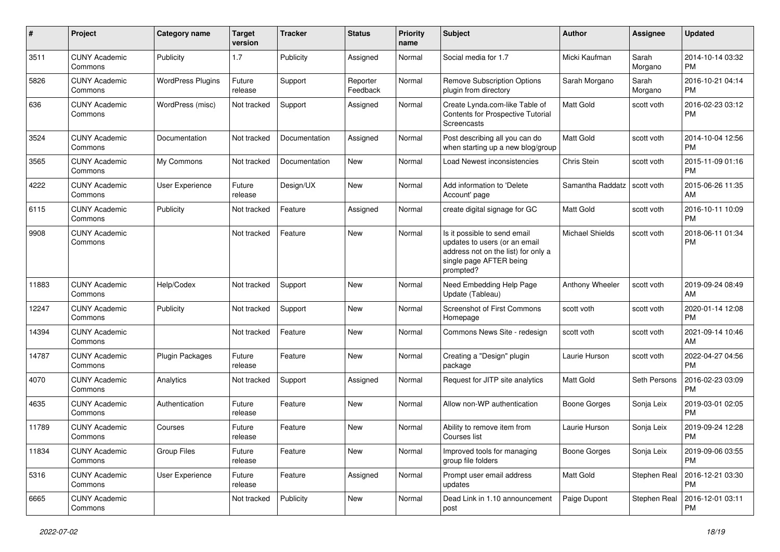| #     | Project                         | <b>Category name</b>     | <b>Target</b><br>version | <b>Tracker</b> | <b>Status</b>        | Priority<br>name | <b>Subject</b>                                                                                                                               | Author                 | <b>Assignee</b>  | <b>Updated</b>                |
|-------|---------------------------------|--------------------------|--------------------------|----------------|----------------------|------------------|----------------------------------------------------------------------------------------------------------------------------------------------|------------------------|------------------|-------------------------------|
| 3511  | <b>CUNY Academic</b><br>Commons | Publicity                | 1.7                      | Publicity      | Assigned             | Normal           | Social media for 1.7                                                                                                                         | Micki Kaufman          | Sarah<br>Morgano | 2014-10-14 03:32<br><b>PM</b> |
| 5826  | <b>CUNY Academic</b><br>Commons | <b>WordPress Plugins</b> | Future<br>release        | Support        | Reporter<br>Feedback | Normal           | <b>Remove Subscription Options</b><br>plugin from directory                                                                                  | Sarah Morgano          | Sarah<br>Morgano | 2016-10-21 04:14<br><b>PM</b> |
| 636   | <b>CUNY Academic</b><br>Commons | WordPress (misc)         | Not tracked              | Support        | Assigned             | Normal           | Create Lynda.com-like Table of<br>Contents for Prospective Tutorial<br>Screencasts                                                           | <b>Matt Gold</b>       | scott voth       | 2016-02-23 03:12<br><b>PM</b> |
| 3524  | <b>CUNY Academic</b><br>Commons | Documentation            | Not tracked              | Documentation  | Assigned             | Normal           | Post describing all you can do<br>when starting up a new blog/group                                                                          | Matt Gold              | scott voth       | 2014-10-04 12:56<br><b>PM</b> |
| 3565  | <b>CUNY Academic</b><br>Commons | My Commons               | Not tracked              | Documentation  | New                  | Normal           | Load Newest inconsistencies                                                                                                                  | Chris Stein            | scott voth       | 2015-11-09 01:16<br><b>PM</b> |
| 4222  | <b>CUNY Academic</b><br>Commons | User Experience          | Future<br>release        | Design/UX      | <b>New</b>           | Normal           | Add information to 'Delete<br>Account' page                                                                                                  | Samantha Raddatz       | scott voth       | 2015-06-26 11:35<br>AM        |
| 6115  | <b>CUNY Academic</b><br>Commons | Publicity                | Not tracked              | Feature        | Assigned             | Normal           | create digital signage for GC                                                                                                                | <b>Matt Gold</b>       | scott voth       | 2016-10-11 10:09<br><b>PM</b> |
| 9908  | <b>CUNY Academic</b><br>Commons |                          | Not tracked              | Feature        | New                  | Normal           | Is it possible to send email<br>updates to users (or an email<br>address not on the list) for only a<br>single page AFTER being<br>prompted? | <b>Michael Shields</b> | scott voth       | 2018-06-11 01:34<br><b>PM</b> |
| 11883 | <b>CUNY Academic</b><br>Commons | Help/Codex               | Not tracked              | Support        | New                  | Normal           | Need Embedding Help Page<br>Update (Tableau)                                                                                                 | Anthony Wheeler        | scott voth       | 2019-09-24 08:49<br>AM        |
| 12247 | <b>CUNY Academic</b><br>Commons | Publicity                | Not tracked              | Support        | <b>New</b>           | Normal           | Screenshot of First Commons<br>Homepage                                                                                                      | scott voth             | scott voth       | 2020-01-14 12:08<br><b>PM</b> |
| 14394 | <b>CUNY Academic</b><br>Commons |                          | Not tracked              | Feature        | New                  | Normal           | Commons News Site - redesign                                                                                                                 | scott voth             | scott voth       | 2021-09-14 10:46<br>AM        |
| 14787 | <b>CUNY Academic</b><br>Commons | Plugin Packages          | Future<br>release        | Feature        | New                  | Normal           | Creating a "Design" plugin<br>package                                                                                                        | Laurie Hurson          | scott voth       | 2022-04-27 04:56<br><b>PM</b> |
| 4070  | <b>CUNY Academic</b><br>Commons | Analytics                | Not tracked              | Support        | Assigned             | Normal           | Request for JITP site analytics                                                                                                              | <b>Matt Gold</b>       | Seth Persons     | 2016-02-23 03:09<br><b>PM</b> |
| 4635  | <b>CUNY Academic</b><br>Commons | Authentication           | Future<br>release        | Feature        | New                  | Normal           | Allow non-WP authentication                                                                                                                  | <b>Boone Gorges</b>    | Sonja Leix       | 2019-03-01 02:05<br><b>PM</b> |
| 11789 | <b>CUNY Academic</b><br>Commons | Courses                  | Future<br>release        | Feature        | New                  | Normal           | Ability to remove item from<br>Courses list                                                                                                  | Laurie Hurson          | Sonja Leix       | 2019-09-24 12:28<br><b>PM</b> |
| 11834 | <b>CUNY Academic</b><br>Commons | Group Files              | Future<br>release        | Feature        | New                  | Normal           | Improved tools for managing<br>group file folders                                                                                            | <b>Boone Gorges</b>    | Sonja Leix       | 2019-09-06 03:55<br><b>PM</b> |
| 5316  | <b>CUNY Academic</b><br>Commons | User Experience          | Future<br>release        | Feature        | Assigned             | Normal           | Prompt user email address<br>updates                                                                                                         | Matt Gold              | Stephen Real     | 2016-12-21 03:30<br>PM        |
| 6665  | <b>CUNY Academic</b><br>Commons |                          | Not tracked              | Publicity      | New                  | Normal           | Dead Link in 1.10 announcement<br>post                                                                                                       | Paige Dupont           | Stephen Real     | 2016-12-01 03:11<br>PM        |